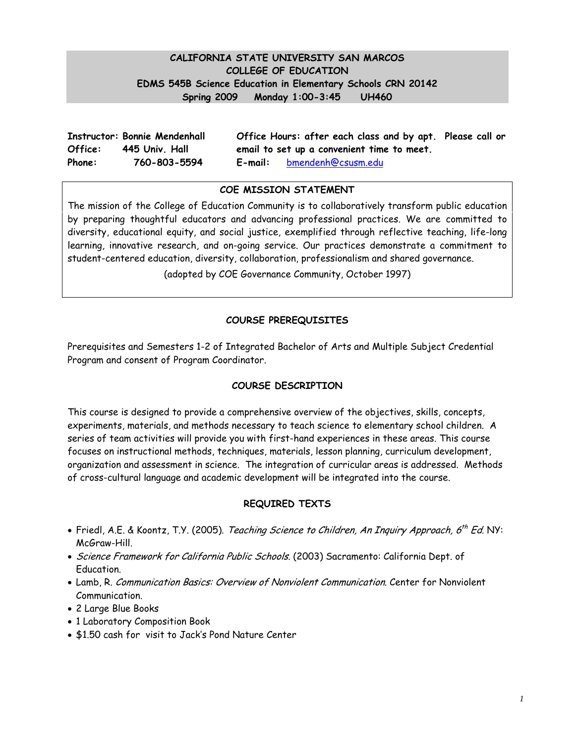## **CALIFORNIA STATE UNIVERSITY SAN MARCOS COLLEGE OF EDUCATION EDMS 545B Science Education in Elementary Schools CRN 20142 Spring 2009 Monday 1:00-3:45 UH460**

|         | <b>Instructor: Bonnie Mendenhall</b> |         | Office Hours: after each class and by apt. Please call or |  |
|---------|--------------------------------------|---------|-----------------------------------------------------------|--|
| Office: | 445 Univ. Hall                       |         | email to set up a convenient time to meet.                |  |
| Phone:  | 760-803-5594                         | E-mail: | bmendenh@csusm.edu                                        |  |

#### **COE MISSION STATEMENT**

The mission of the College of Education Community is to collaboratively transform public education by preparing thoughtful educators and advancing professional practices. We are committed to diversity, educational equity, and social justice, exemplified through reflective teaching, life-long learning, innovative research, and on-going service. Our practices demonstrate a commitment to student-centered education, diversity, collaboration, professionalism and shared governance.

(adopted by COE Governance Community, October 1997)

### **COURSE PREREQUISITES**

Prerequisites and Semesters 1-2 of Integrated Bachelor of Arts and Multiple Subject Credential Program and consent of Program Coordinator.

#### **COURSE DESCRIPTION**

This course is designed to provide a comprehensive overview of the objectives, skills, concepts, experiments, materials, and methods necessary to teach science to elementary school children. A series of team activities will provide you with first-hand experiences in these areas. This course focuses on instructional methods, techniques, materials, lesson planning, curriculum development, organization and assessment in science. The integration of curricular areas is addressed. Methods of cross-cultural language and academic development will be integrated into the course.

#### **REQUIRED TEXTS**

- Friedl, A.E. & Koontz, T.Y. (2005). Teaching Science to Children, An Inquiry Approach, 6<sup>th</sup> Ed. NY: McGraw-Hill.
- Science Framework for California Public Schools. (2003) Sacramento: California Dept. of Education.
- Lamb, R. Communication Basics: Overview of Nonviolent Communication. Center for Nonviolent Communication.
- 2 Large Blue Books
- 1 Laboratory Composition Book
- \$1.50 cash for visit to Jack's Pond Nature Center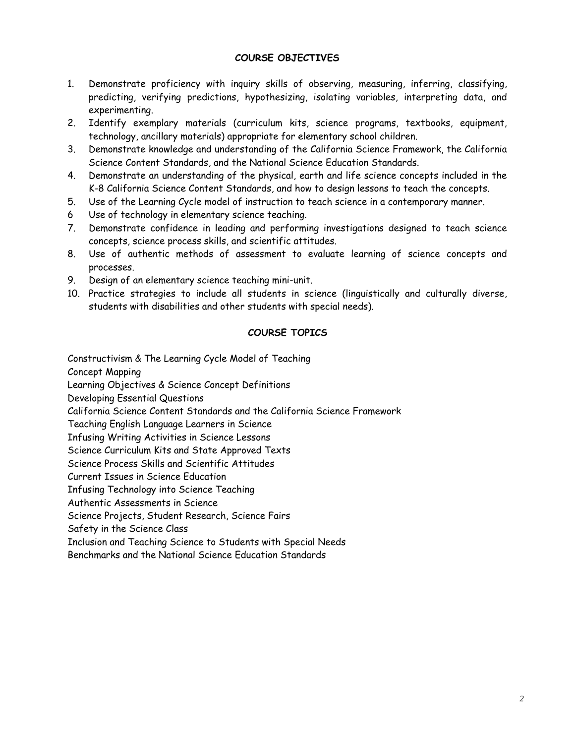### **COURSE OBJECTIVES**

- 1. Demonstrate proficiency with inquiry skills of observing, measuring, inferring, classifying, predicting, verifying predictions, hypothesizing, isolating variables, interpreting data, and experimenting.
- technology, ancillary materials) appropriate for elementary school children. 2. Identify exemplary materials (curriculum kits, science programs, textbooks, equipment,
- 3. Demonstrate knowledge and understanding of the California Science Framework, the California Science Content Standards, and the National Science Education Standards.
- 4. Demonstrate an understanding of the physical, earth and life science concepts included in the K-8 California Science Content Standards, and how to design lessons to teach the concepts.
- 5. Use of the Learning Cycle model of instruction to teach science in a contemporary manner.
- 6 Use of technology in elementary science teaching.
- 7. Demonstrate confidence in leading and performing investigations designed to teach science concepts, science process skills, and scientific attitudes.
- 8. Use of authentic methods of assessment to evaluate learning of science concepts and processes.
- 9. Design of an elementary science teaching mini-unit.
- 10. Practice strategies to include all students in science (linguistically and culturally diverse, students with disabilities and other students with special needs).

# **COURSE TOPICS**

Constructivism & The Learning Cycle Model of Teaching

Concept Mapping

Learning Objectives & Science Concept Definitions

Developing Essential Questions

California Science Content Standards and the California Science Framework

Teaching English Language Learners in Science

Infusing Writing Activities in Science Lessons

Science Curriculum Kits and State Approved Texts

Science Process Skills and Scientific Attitudes

Current Issues in Science Education

Infusing Technology into Science Teaching

Authentic Assessments in Science

Science Projects, Student Research, Science Fairs

Safety in the Science Class

Inclusion and Teaching Science to Students with Special Needs

Benchmarks and the National Science Education Standards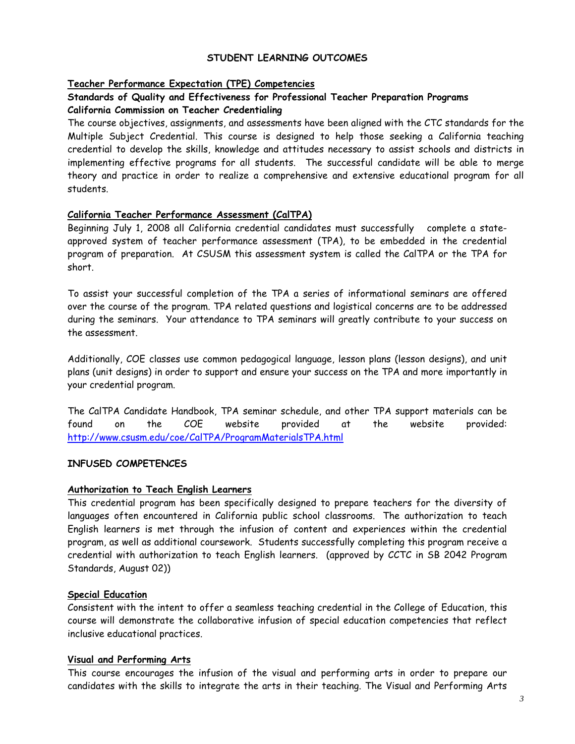#### **STUDENT LEARNING OUTCOMES**

### **Teacher Performance Expectation (TPE) Competencies**

## **Standards of Quality and Effectiveness for Professional Teacher Preparation Programs California Commission on Teacher Credentialing**

The course objectives, assignments, and assessments have been aligned with the CTC standards for the Multiple Subject Credential. This course is designed to help those seeking a California teaching credential to develop the skills, knowledge and attitudes necessary to assist schools and districts in implementing effective programs for all students. The successful candidate will be able to merge theory and practice in order to realize a comprehensive and extensive educational program for all students.

### **California Teacher Performance Assessment (CalTPA)**

Beginning July 1, 2008 all California credential candidates must successfully complete a stateapproved system of teacher performance assessment (TPA), to be embedded in the credential program of preparation. At CSUSM this assessment system is called the CalTPA or the TPA for short.

To assist your successful completion of the TPA a series of informational seminars are offered over the course of the program. TPA related questions and logistical concerns are to be addressed during the seminars. Your attendance to TPA seminars will greatly contribute to your success on the assessment.

your credential program. Additionally, COE classes use common pedagogical language, lesson plans (lesson designs), and unit plans (unit designs) in order to support and ensure your success on the TPA and more importantly in

The CalTPA Candidate Handbook, TPA seminar schedule, and other TPA support materials can be found on the COE website provided at the website provided: http://www.csusm.edu/coe/CalTPA/ProgramMaterialsTPA.html

#### **INFUSED COMPETENCES**

#### **Authorization to Teach English Learners**

 Standards, August 02)) This credential program has been specifically designed to prepare teachers for the diversity of languages often encountered in California public school classrooms. The authorization to teach English learners is met through the infusion of content and experiences within the credential program, as well as additional coursework. Students successfully completing this program receive a credential with authorization to teach English learners. (approved by CCTC in SB 2042 Program

#### **Special Education**

Consistent with the intent to offer a seamless teaching credential in the College of Education, this course will demonstrate the collaborative infusion of special education competencies that reflect inclusive educational practices.

#### **Visual and Performing Arts**

This course encourages the infusion of the visual and performing arts in order to prepare our candidates with the skills to integrate the arts in their teaching. The Visual and Performing Arts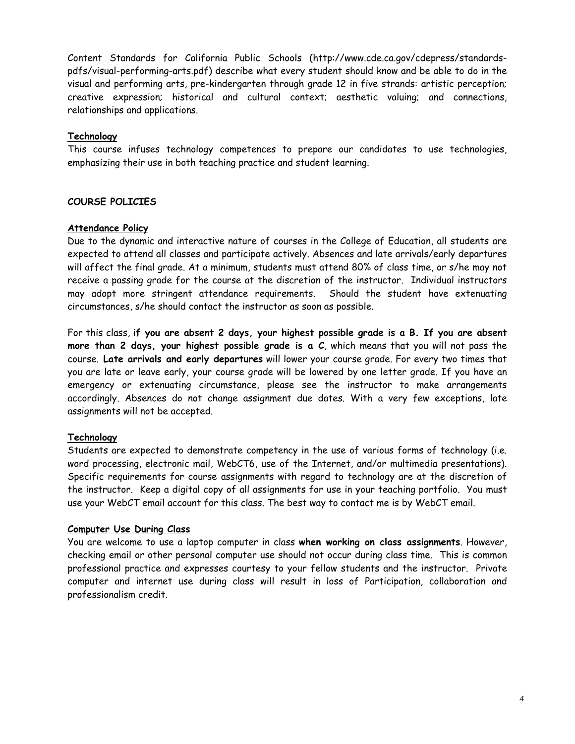Content Standards for California Public Schools (http://www.cde.ca.gov/cdepress/standardspdfs/visual-performing-arts.pdf) describe what every student should know and be able to do in the visual and performing arts, pre-kindergarten through grade 12 in five strands: artistic perception; creative expression; historical and cultural context; aesthetic valuing; and connections, relationships and applications.

#### **Technology**

 emphasizing their use in both teaching practice and student learning. This course infuses technology competences to prepare our candidates to use technologies,

### **COURSE POLICIES**

#### **Attendance Policy**

Due to the dynamic and interactive nature of courses in the College of Education, all students are expected to attend all classes and participate actively. Absences and late arrivals/early departures will affect the final grade. At a minimum, students must attend 80% of class time, or s/he may not receive a passing grade for the course at the discretion of the instructor. Individual instructors may adopt more stringent attendance requirements. Should the student have extenuating circumstances, s/he should contact the instructor as soon as possible.

For this class, **if you are absent 2 days, your highest possible grade is a B. If you are absent more than 2 days, your highest possible grade is a C**, which means that you will not pass the course. **Late arrivals and early departures** will lower your course grade. For every two times that you are late or leave early, your course grade will be lowered by one letter grade. If you have an emergency or extenuating circumstance, please see the instructor to make arrangements accordingly. Absences do not change assignment due dates. With a very few exceptions, late assignments will not be accepted.

#### **Technology**

Students are expected to demonstrate competency in the use of various forms of technology (i.e. word processing, electronic mail, WebCT6, use of the Internet, and/or multimedia presentations). Specific requirements for course assignments with regard to technology are at the discretion of the instructor. Keep a digital copy of all assignments for use in your teaching portfolio. You must use your WebCT email account for this class. The best way to contact me is by WebCT email.

#### **Computer Use During Class**

 checking email or other personal computer use should not occur during class time. This is common You are welcome to use a laptop computer in class **when working on class assignments**. However, professional practice and expresses courtesy to your fellow students and the instructor. Private computer and internet use during class will result in loss of Participation, collaboration and professionalism credit.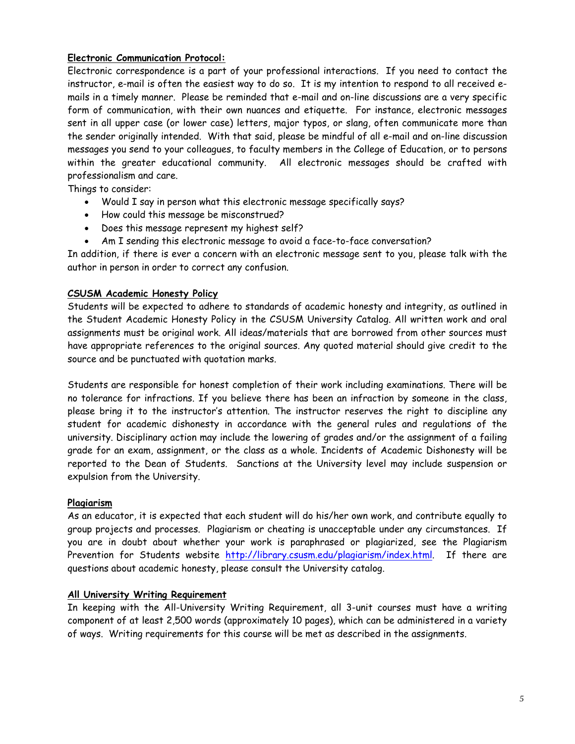## **Electronic Communication Protocol:**

 instructor, e-mail is often the easiest way to do so. It is my intention to respond to all received e-Electronic correspondence is a part of your professional interactions. If you need to contact the mails in a timely manner. Please be reminded that e-mail and on-line discussions are a very specific form of communication, with their own nuances and etiquette. For instance, electronic messages sent in all upper case (or lower case) letters, major typos, or slang, often communicate more than the sender originally intended. With that said, please be mindful of all e-mail and on-line discussion messages you send to your colleagues, to faculty members in the College of Education, or to persons within the greater educational community. All electronic messages should be crafted with professionalism and care.

Things to consider:

- Would I say in person what this electronic message specifically says?
- How could this message be misconstrued?
- Does this message represent my highest self?
- Am I sending this electronic message to avoid a face-to-face conversation?

In addition, if there is ever a concern with an electronic message sent to you, please talk with the author in person in order to correct any confusion.

#### **CSUSM Academic Honesty Policy**

 have appropriate references to the original sources. Any quoted material should give credit to the Students will be expected to adhere to standards of academic honesty and integrity, as outlined in the Student Academic Honesty Policy in the CSUSM University Catalog. All written work and oral assignments must be original work. All ideas/materials that are borrowed from other sources must source and be punctuated with quotation marks.

Students are responsible for honest completion of their work including examinations. There will be no tolerance for infractions. If you believe there has been an infraction by someone in the class, please bring it to the instructor's attention. The instructor reserves the right to discipline any student for academic dishonesty in accordance with the general rules and regulations of the university. Disciplinary action may include the lowering of grades and/or the assignment of a failing grade for an exam, assignment, or the class as a whole. Incidents of Academic Dishonesty will be reported to the Dean of Students. Sanctions at the University level may include suspension or expulsion from the University.

#### **Plagiarism**

As an educator, it is expected that each student will do his/her own work, and contribute equally to group projects and processes. Plagiarism or cheating is unacceptable under any circumstances. If you are in doubt about whether your work is paraphrased or plagiarized, see the Plagiarism Prevention for Students website http://library.csusm.edu/plagiarism/index.html. If there are questions about academic honesty, please consult the University catalog.

#### **All University Writing Requirement**

In keeping with the All-University Writing Requirement, all 3-unit courses must have a writing component of at least 2,500 words (approximately 10 pages), which can be administered in a variety of ways. Writing requirements for this course will be met as described in the assignments.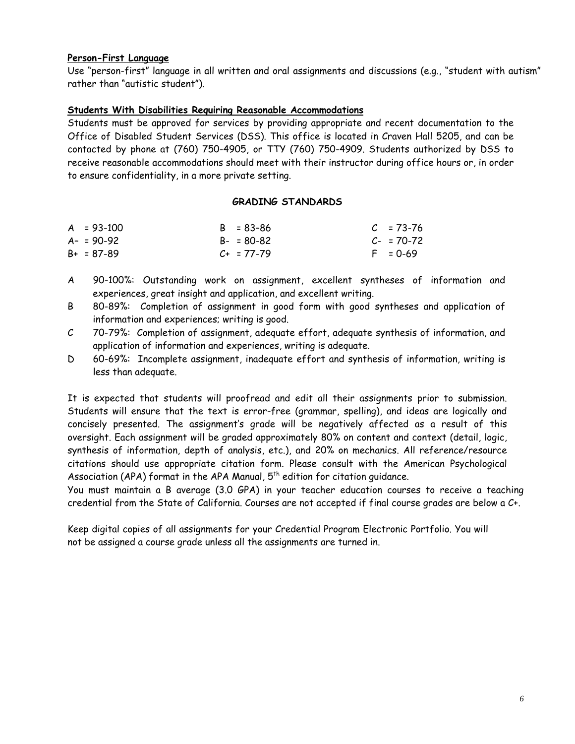#### **Person-First Language**

Use "person-first" language in all written and oral assignments and discussions (e.g., "student with autism" rather than "autistic student").

## **Students With Disabilities Requiring Reasonable Accommodations**

 to ensure confidentiality, in a more private setting. Students must be approved for services by providing appropriate and recent documentation to the Office of Disabled Student Services (DSS). This office is located in Craven Hall 5205, and can be contacted by phone at (760) 750-4905, or TTY (760) 750-4909. Students authorized by DSS to receive reasonable accommodations should meet with their instructor during office hours or, in order

#### **GRADING STANDARDS**

| $A = 93-100$   | $B = 83 - 86$   | $C = 73-76$ |
|----------------|-----------------|-------------|
| $A - 590 - 92$ | $B - 80 - 82$   | $C-70-72$   |
| $B+ = 87-89$   | $C_{+}$ = 77-79 | $F = 0.69$  |

- A 90-100%: Outstanding work on assignment, excellent syntheses of information and experiences, great insight and application, and excellent writing.
- B 80-89%: Completion of assignment in good form with good syntheses and application of information and experiences; writing is good.
- $\mathcal{C}$ 70-79%: Completion of assignment, adequate effort, adequate synthesis of information, and application of information and experiences, writing is adequate.
- D 60-69%: Incomplete assignment, inadequate effort and synthesis of information, writing is less than adequate.

It is expected that students will proofread and edit all their assignments prior to submission. Students will ensure that the text is error-free (grammar, spelling), and ideas are logically and concisely presented. The assignment's grade will be negatively affected as a result of this oversight. Each assignment will be graded approximately 80% on content and context (detail, logic, synthesis of information, depth of analysis, etc.), and 20% on mechanics. All reference/resource citations should use appropriate citation form. Please consult with the American Psychological Association (APA) format in the APA Manual, 5<sup>th</sup> edition for citation guidance.

You must maintain a B average (3.0 GPA) in your teacher education courses to receive a teaching credential from the State of California. Courses are not accepted if final course grades are below a C+.

 Keep digital copies of all assignments for your Credential Program Electronic Portfolio. You will not be assigned a course grade unless all the assignments are turned in.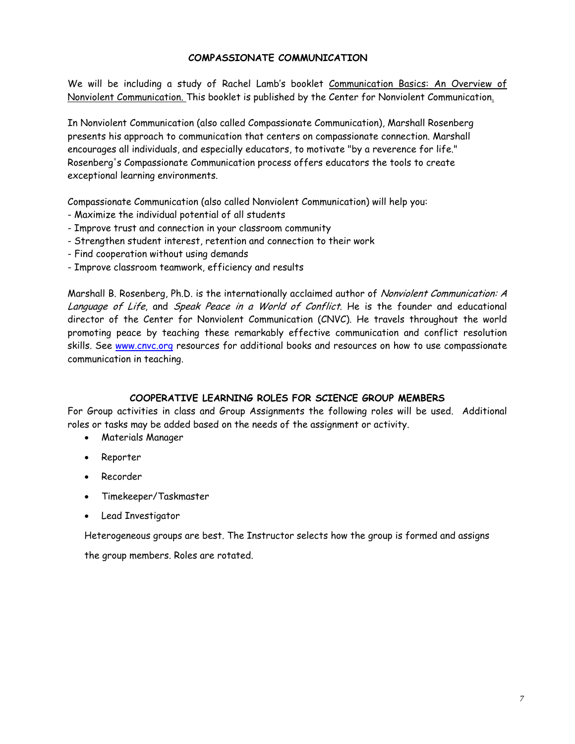#### **COMPASSIONATE COMMUNICATION**

We will be including a study of Rachel Lamb's booklet Communication Basics: An Overview of Nonviolent Communication. This booklet is published by the Center for Nonviolent Communication.

In Nonviolent Communication (also called Compassionate Communication), Marshall Rosenberg presents his approach to communication that centers on compassionate connection. Marshall encourages all individuals, and especially educators, to motivate "by a reverence for life." Rosenberg's Compassionate Communication process offers educators the tools to create exceptional learning environments.

Compassionate Communication (also called Nonviolent Communication) will help you:

- Maximize the individual potential of all students
- Improve trust and connection in your classroom community
- Strengthen student interest, retention and connection to their work
- Find cooperation without using demands
- Improve classroom teamwork, efficiency and results

Marshall B. Rosenberg, Ph.D. is the internationally acclaimed author of Nonviolent Communication: A Language of Life, and Speak Peace in a World of Conflict. He is the founder and educational director of the Center for Nonviolent Communication (CNVC). He travels throughout the world promoting peace by teaching these remarkably effective communication and conflict resolution skills. See www.cnvc.org resources for additional books and resources on how to use compassionate communication in teaching.

#### **COOPERATIVE LEARNING ROLES FOR SCIENCE GROUP MEMBERS**

For Group activities in class and Group Assignments the following roles will be used. Additional roles or tasks may be added based on the needs of the assignment or activity.

- Materials Manager
- Reporter
- Recorder
- Timekeeper/Taskmaster
- Lead Investigator

Heterogeneous groups are best. The Instructor selects how the group is formed and assigns

the group members. Roles are rotated.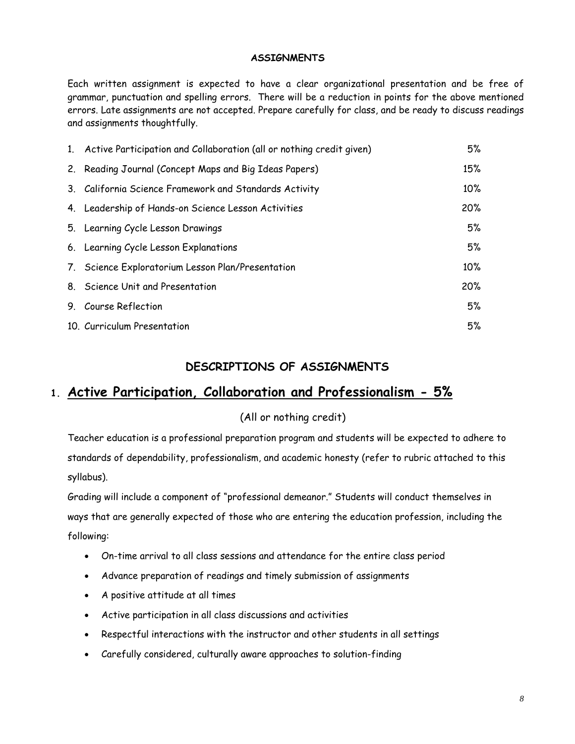### **ASSIGNMENTS**

Each written assignment is expected to have a clear organizational presentation and be free of grammar, punctuation and spelling errors. There will be a reduction in points for the above mentioned errors. Late assignments are not accepted. Prepare carefully for class, and be ready to discuss readings and assignments thoughtfully.

| 1. Active Participation and Collaboration (all or nothing credit given) | 5%     |
|-------------------------------------------------------------------------|--------|
| 2. Reading Journal (Concept Maps and Big Ideas Papers)                  | 15%    |
| 3. California Science Framework and Standards Activity                  | $10\%$ |
| 4. Leadership of Hands-on Science Lesson Activities                     | 20%    |
| 5. Learning Cycle Lesson Drawings                                       | 5%     |
| 6. Learning Cycle Lesson Explanations                                   | 5%     |
| 7. Science Exploratorium Lesson Plan/Presentation                       | $10\%$ |
| 8. Science Unit and Presentation                                        | 20%    |
| 9. Course Reflection                                                    | 5%     |
| 10. Curriculum Presentation                                             | 5%     |

# **DESCRIPTIONS OF ASSIGNMENTS**

# **1. Active Participation, Collaboration and Professionalism - 5%**

## (All or nothing credit)

Teacher education is a professional preparation program and students will be expected to adhere to standards of dependability, professionalism, and academic honesty (refer to rubric attached to this syllabus).

Grading will include a component of "professional demeanor." Students will conduct themselves in ways that are generally expected of those who are entering the education profession, including the following:

- On-time arrival to all class sessions and attendance for the entire class period
- Advance preparation of readings and timely submission of assignments
- A positive attitude at all times
- Active participation in all class discussions and activities
- Respectful interactions with the instructor and other students in all settings
- Carefully considered, culturally aware approaches to solution-finding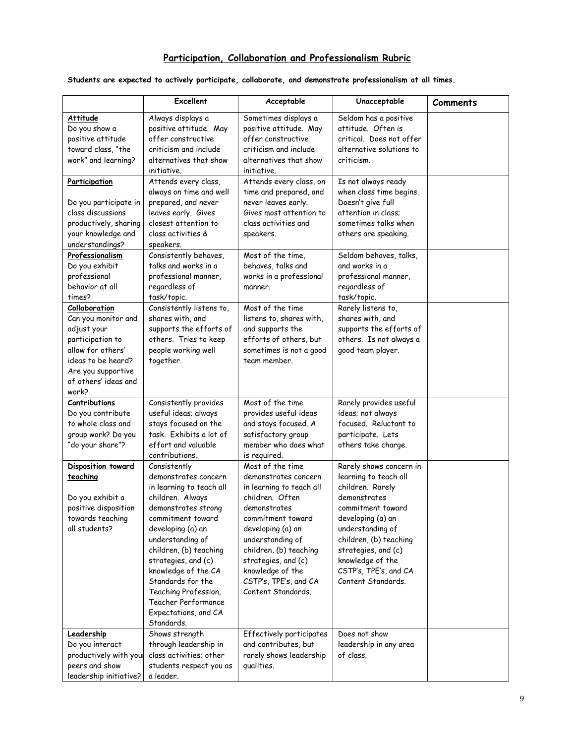# **Participation, Collaboration and Professionalism Rubric**

#### **Students are expected to actively participate, collaborate, and demonstrate professionalism at all times.**

|                        | <b>Excellent</b>               | Acceptable                       | Unacceptable             | Comments |
|------------------------|--------------------------------|----------------------------------|--------------------------|----------|
| Attitude               | Always displays a              | Sometimes displays a             | Seldom has a positive    |          |
| Do you show a          | positive attitude. May         | positive attitude. May           | attitude. Often is       |          |
| positive attitude      | offer constructive             | offer constructive               | critical. Does not offer |          |
| toward class, "the     | criticism and include          | criticism and include            | alternative solutions to |          |
| work" and learning?    | alternatives that show         | alternatives that show           | criticism.               |          |
|                        | initiative.                    | initiative.                      |                          |          |
| Participation          | Attends every class,           | Attends every class, on          | Is not always ready      |          |
|                        | always on time and well        | time and prepared, and           | when class time begins.  |          |
| Do you participate in  | prepared, and never            | never leaves early.              | Doesn't give full        |          |
| class discussions      | leaves early. Gives            | Gives most attention to          | attention in class;      |          |
| productively, sharing  | closest attention to           | class activities and             | sometimes talks when     |          |
| your knowledge and     | class activities &             | speakers.                        | others are speaking.     |          |
| understandings?        | speakers.                      |                                  |                          |          |
| Professionalism        | Consistently behaves,          | Most of the time,                | Seldom behaves, talks,   |          |
| Do you exhibit         | talks and works in a           | behaves, talks and               | and works in a           |          |
| professional           | professional manner,           | works in a professional          | professional manner,     |          |
| behavior at all        | regardless of                  | manner.                          | regardless of            |          |
| times?                 | task/topic.                    |                                  | task/topic.              |          |
| Collaboration          | Consistently listens to,       | Most of the time                 | Rarely listens to,       |          |
| Can you monitor and    | shares with, and               | listens to, shares with,         | shares with, and         |          |
| adjust your            | supports the efforts of        | and supports the                 | supports the efforts of  |          |
| participation to       | others. Tries to keep          | efforts of others, but           | others. Is not always a  |          |
| allow for others'      | people working well            | sometimes is not a good          | good team player.        |          |
| ideas to be heard?     | together.                      | team member.                     |                          |          |
| Are you supportive     |                                |                                  |                          |          |
| of others' ideas and   |                                |                                  |                          |          |
| work?                  |                                |                                  |                          |          |
| <b>Contributions</b>   | Consistently provides          | Most of the time                 | Rarely provides useful   |          |
| Do you contribute      | useful ideas; always           | provides useful ideas            | ideas; not always        |          |
| to whole class and     | stays focused on the           | and stays focused. A             | focused. Reluctant to    |          |
| group work? Do you     | task. Exhibits a lot of        | satisfactory group               | participate. Lets        |          |
| "do your share"?       | effort and valuable            | member who does what             | others take charge.      |          |
|                        | contributions.<br>Consistently | is required.<br>Most of the time | Rarely shows concern in  |          |
| Disposition toward     | demonstrates concern           | demonstrates concern             | learning to teach all    |          |
| teaching               | in learning to teach all       | in learning to teach all         | children. Rarely         |          |
| Do you exhibit a       | children. Always               | children. Often                  | demonstrates             |          |
| positive disposition   | demonstrates strong            | demonstrates                     | commitment toward        |          |
| towards teaching       | commitment toward              | commitment toward                | developing (a) an        |          |
| all students?          | developing (a) an              | developing (a) an                | understanding of         |          |
|                        | understanding of               | understanding of                 | children, (b) teaching   |          |
|                        | children, (b) teaching         | children, (b) teaching           | strategies, and (c)      |          |
|                        | strategies, and (c)            | strategies, and (c)              | knowledge of the         |          |
|                        | knowledge of the CA            | knowledge of the                 | CSTP's, TPE's, and CA    |          |
|                        | Standards for the              | CSTP's, TPE's, and CA            | Content Standards.       |          |
|                        | Teaching Profession,           | Content Standards.               |                          |          |
|                        | Teacher Performance            |                                  |                          |          |
|                        | Expectations, and CA           |                                  |                          |          |
|                        | Standards.                     |                                  |                          |          |
| Leadership             | Shows strength                 | Effectively participates         | Does not show            |          |
| Do you interact        | through leadership in          | and contributes, but             | leadership in any area   |          |
| productively with your | class activities; other        | rarely shows leadership          | of class.                |          |
| peers and show         | students respect you as        | qualities.                       |                          |          |
| leadership initiative? | a leader.                      |                                  |                          |          |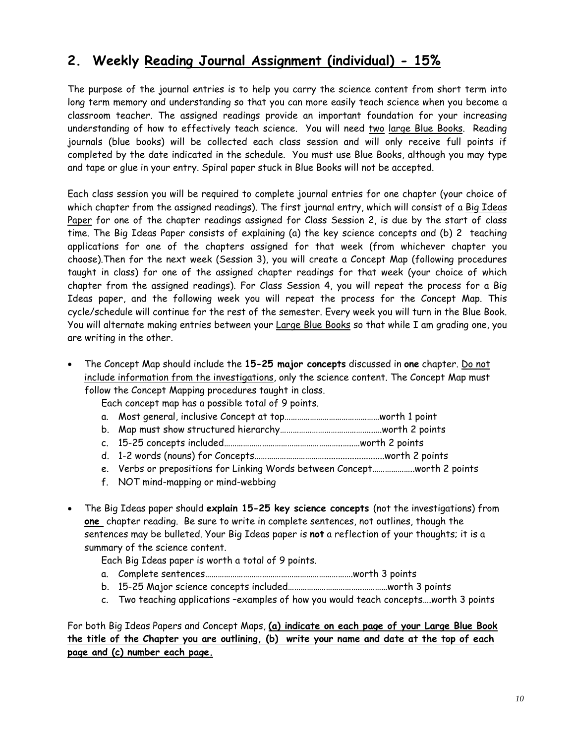# **2. Weekly Reading Journal Assignment (individual) - 15%**

The purpose of the journal entries is to help you carry the science content from short term into long term memory and understanding so that you can more easily teach science when you become a classroom teacher. The assigned readings provide an important foundation for your increasing understanding of how to effectively teach science. You will need two large Blue Books. Reading journals (blue books) will be collected each class session and will only receive full points if completed by the date indicated in the schedule. You must use Blue Books, although you may type and tape or glue in your entry. Spiral paper stuck in Blue Books will not be accepted.

You will alternate making entries between your <u>Large Blue Books</u> so that while I am grading one, you Each class session you will be required to complete journal entries for one chapter (your choice of which chapter from the assigned readings). The first journal entry, which will consist of a Big Ideas Paper for one of the chapter readings assigned for Class Session 2, is due by the start of class time. The Big Ideas Paper consists of explaining (a) the key science concepts and (b) 2 teaching applications for one of the chapters assigned for that week (from whichever chapter you choose).Then for the next week (Session 3), you will create a Concept Map (following procedures taught in class) for one of the assigned chapter readings for that week (your choice of which chapter from the assigned readings). For Class Session 4, you will repeat the process for a Big Ideas paper, and the following week you will repeat the process for the Concept Map. This cycle/schedule will continue for the rest of the semester. Every week you will turn in the Blue Book. are writing in the other.

The Concept Map should include the 15-25 major concepts discussed in one chapter. Do not include information from the investigations, only the science content. The Concept Map must follow the Concept Mapping procedures taught in class.

Each concept map has a possible total of 9 points.

- a. Most general, inclusive Concept at top………………………………………worth 1 point
- b. Map must show structured hierarchy……………………………………..….worth 2 points
- c. 15-25 concepts included………………………………………………..…..…worth 2 points
- d. 1-2 words (nouns) for Concepts……………………………..........................worth 2 points
- e. Verbs or prepositions for Linking Words between Concept....................worth 2 points
- f. NOT mind-mapping or mind-webbing
- • The Big Ideas paper should **explain 15-25 key science concepts** (not the investigations) from **one** chapter reading. Be sure to write in complete sentences, not outlines, though the sentences may be bulleted. Your Big Ideas paper is **not** a reflection of your thoughts; it is a summary of the science content.

Each Big Ideas paper is worth a total of 9 points.

- a. Complete sentences…………………………………………………………….worth 3 points
- b. 15-25 Major science concepts included……………………………..…………worth 3 points
- c. Two teaching applications -examples of how you would teach concepts....worth 3 points

For both Big Ideas Papers and Concept Maps, **(a) indicate on each page of your Large Blue Book the title of the Chapter you are outlining, (b) write your name and date at the top of each page and (c) number each page.**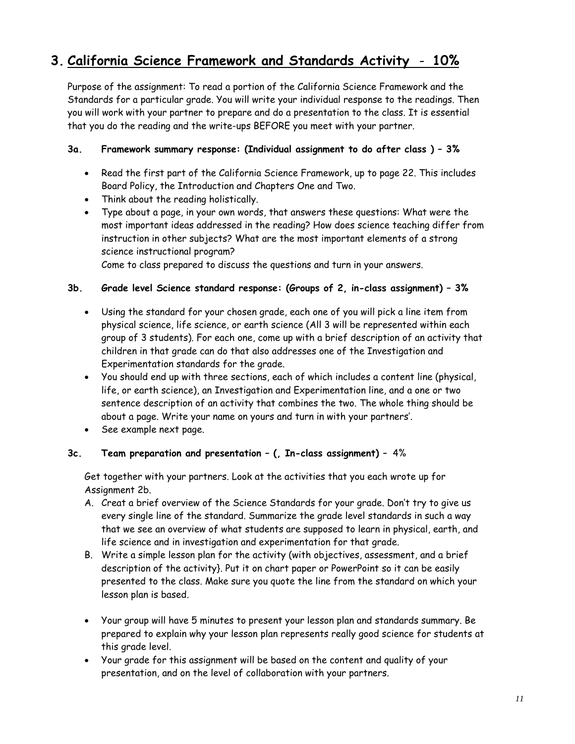# **3. California Science Framework and Standards Activity** - **10%**

Purpose of the assignment: To read a portion of the California Science Framework and the Standards for a particular grade. You will write your individual response to the readings. Then you will work with your partner to prepare and do a presentation to the class. It is essential that you do the reading and the write-ups BEFORE you meet with your partner.

## **3a. Framework summary response: (Individual assignment to do after class ) – 3%**

- Read the first part of the California Science Framework, up to page 22. This includes Board Policy, the Introduction and Chapters One and Two.
- Think about the reading holistically.
- • Type about a page, in your own words, that answers these questions: What were the most important ideas addressed in the reading? How does science teaching differ from instruction in other subjects? What are the most important elements of a strong science instructional program?

Come to class prepared to discuss the questions and turn in your answers.

### **3b. Grade level Science standard response: (Groups of 2, in-class assignment) – 3%**

- • Using the standard for your chosen grade, each one of you will pick a line item from physical science, life science, or earth science (All 3 will be represented within each group of 3 students). For each one, come up with a brief description of an activity that children in that grade can do that also addresses one of the Investigation and Experimentation standards for the grade.
- • You should end up with three sections, each of which includes a content line (physical, life, or earth science), an Investigation and Experimentation line, and a one or two sentence description of an activity that combines the two. The whole thing should be about a page. Write your name on yours and turn in with your partners'.
- • See example next page.

## **3c. Team preparation and presentation – (, In-class assignment)** – 4%

Get together with your partners. Look at the activities that you each wrote up for Assignment 2b.

- life science and in investigation and experimentation for that grade. A. Creat a brief overview of the Science Standards for your grade. Don't try to give us every single line of the standard. Summarize the grade level standards in such a way that we see an overview of what students are supposed to learn in physical, earth, and
- B. Write a simple lesson plan for the activity (with objectives, assessment, and a brief description of the activity}. Put it on chart paper or PowerPoint so it can be easily presented to the class. Make sure you quote the line from the standard on which your lesson plan is based.
- • Your group will have 5 minutes to present your lesson plan and standards summary. Be prepared to explain why your lesson plan represents really good science for students at this grade level.
- • Your grade for this assignment will be based on the content and quality of your presentation, and on the level of collaboration with your partners.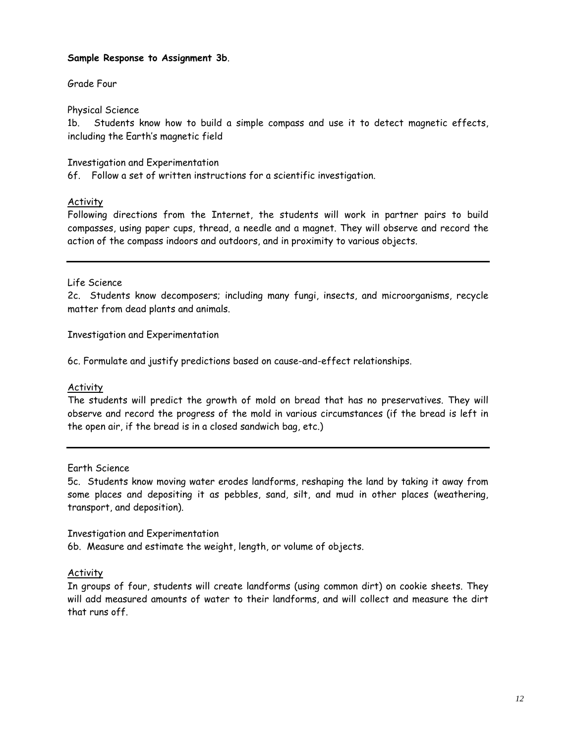#### **Sample Response to Assignment 3b**.

Grade Four

Physical Science

1b. Students know how to build a simple compass and use it to detect magnetic effects, including the Earth's magnetic field

Investigation and Experimentation

6f. Follow a set of written instructions for a scientific investigation.

### Activity

Following directions from the Internet, the students will work in partner pairs to build compasses, using paper cups, thread, a needle and a magnet. They will observe and record the action of the compass indoors and outdoors, and in proximity to various objects.

#### Life Science

2c. Students know decomposers; including many fungi, insects, and microorganisms, recycle matter from dead plants and animals.

Investigation and Experimentation

6c. Formulate and justify predictions based on cause-and-effect relationships.

## **Activity**

The students will predict the growth of mold on bread that has no preservatives. They will observe and record the progress of the mold in various circumstances (if the bread is left in the open air, if the bread is in a closed sandwich bag, etc.)

Earth Science

 5c. Students know moving water erodes landforms, reshaping the land by taking it away from some places and depositing it as pebbles, sand, silt, and mud in other places (weathering, transport, and deposition).

Investigation and Experimentation 6b. Measure and estimate the weight, length, or volume of objects.

## Activity

In groups of four, students will create landforms (using common dirt) on cookie sheets. They will add measured amounts of water to their landforms, and will collect and measure the dirt that runs off.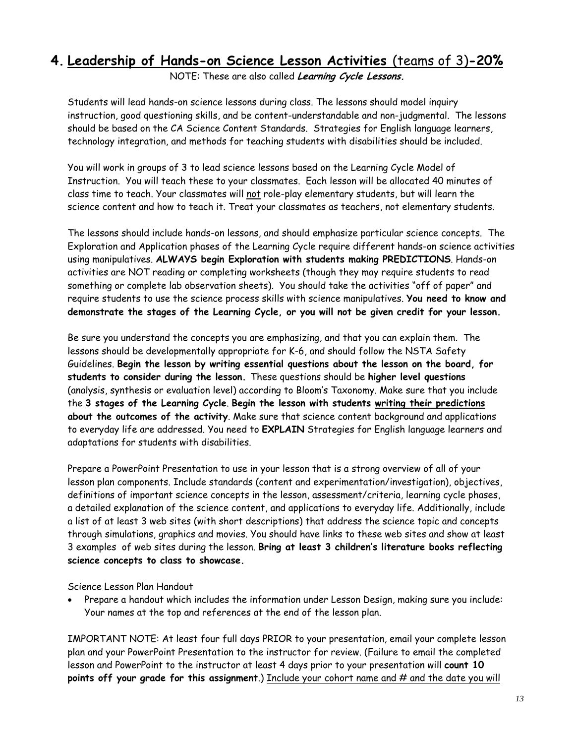# **4. Leadership of Hands-on Science Lesson Activities** (teams of 3)**-20%**

NOTE: These are also called **Learning Cycle Lessons.** 

Students will lead hands-on science lessons during class. The lessons should model inquiry instruction, good questioning skills, and be content-understandable and non-judgmental. The lessons should be based on the CA Science Content Standards. Strategies for English language learners, technology integration, and methods for teaching students with disabilities should be included.

You will work in groups of 3 to lead science lessons based on the Learning Cycle Model of Instruction. You will teach these to your classmates. Each lesson will be allocated 40 minutes of class time to teach. Your classmates will not role-play elementary students, but will learn the science content and how to teach it. Treat your classmates as teachers, not elementary students.

 The lessons should include hands-on lessons, and should emphasize particular science concepts. The Exploration and Application phases of the Learning Cycle require different hands-on science activities using manipulatives. **ALWAYS begin Exploration with students making PREDICTIONS**. Hands-on activities are NOT reading or completing worksheets (though they may require students to read something or complete lab observation sheets). You should take the activities "off of paper" and require students to use the science process skills with science manipulatives. **You need to know and demonstrate the stages of the Learning Cycle, or you will not be given credit for your lesson.** 

Be sure you understand the concepts you are emphasizing, and that you can explain them. The lessons should be developmentally appropriate for K-6, and should follow the NSTA Safety Guidelines. **Begin the lesson by writing essential questions about the lesson on the board, for students to consider during the lesson.** These questions should be **higher level questions**  (analysis, synthesis or evaluation level) according to Bloom's Taxonomy. Make sure that you include the **3 stages of the Learning Cycle**. **Begin the lesson with students writing their predictions about the outcomes of the activity**. Make sure that science content background and applications to everyday life are addressed. You need to **EXPLAIN** Strategies for English language learners and adaptations for students with disabilities.

Prepare a PowerPoint Presentation to use in your lesson that is a strong overview of all of your lesson plan components. Include standards (content and experimentation/investigation), objectives, definitions of important science concepts in the lesson, assessment/criteria, learning cycle phases, a detailed explanation of the science content, and applications to everyday life. Additionally, include a list of at least 3 web sites (with short descriptions) that address the science topic and concepts through simulations, graphics and movies. You should have links to these web sites and show at least 3 examples of web sites during the lesson. **Bring at least 3 children's literature books reflecting science concepts to class to showcase.** 

Science Lesson Plan Handout

Prepare a handout which includes the information under Lesson Design, making sure you include: Your names at the top and references at the end of the lesson plan.

IMPORTANT NOTE: At least four full days PRIOR to your presentation, email your complete lesson plan and your PowerPoint Presentation to the instructor for review. (Failure to email the completed lesson and PowerPoint to the instructor at least 4 days prior to your presentation will **count 10 points off your grade for this assignment**.) Include your cohort name and # and the date you will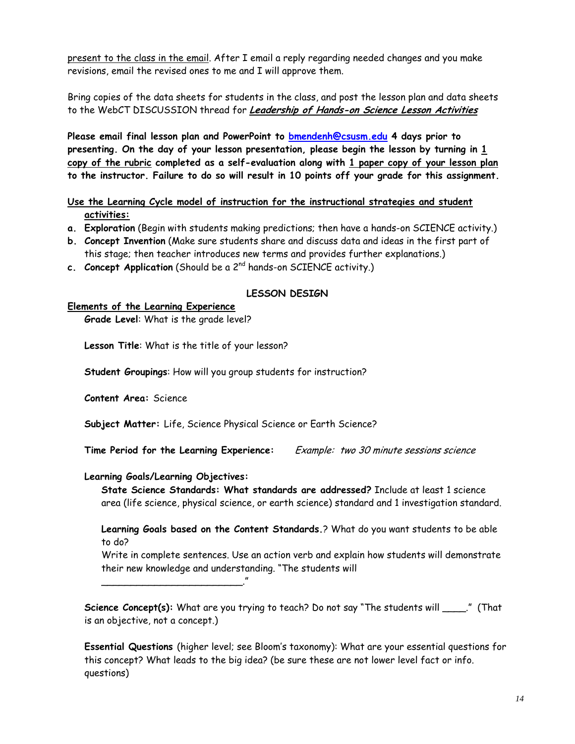revisions, email the revised ones to me and I will approve them. present to the class in the email. After I email a reply regarding needed changes and you make

Bring copies of the data sheets for students in the class, and post the lesson plan and data sheets to the WebCT DISCUSSION thread for **Leadership of Hands-on Science Lesson Activities** 

**Please email final lesson plan and PowerPoint to bmendenh@csusm.edu 4 days prior to presenting. On the day of your lesson presentation, please begin the lesson by turning in 1 copy of the rubric completed as a self-evaluation along with 1 paper copy of your lesson plan to the instructor. Failure to do so will result in 10 points off your grade for this assignment.** 

**Use the Learning Cycle model of instruction for the instructional strategies and student activities:** 

- **a. Exploration** (Begin with students making predictions; then have a hands-on SCIENCE activity.)
- **b. Concept Invention** (Make sure students share and discuss data and ideas in the first part of this stage; then teacher introduces new terms and provides further explanations.)
- **c.** Concept Application (Should be a 2<sup>nd</sup> hands-on SCIENCE activity.)

#### **LESSON DESIGN**

#### **Elements of the Learning Experience**

**Grade Level**: What is the grade level?

**Lesson Title**: What is the title of your lesson?

**Student Groupings**: How will you group students for instruction?

**Content Area:** Science

**Subject Matter:** Life, Science Physical Science or Earth Science?

Example: two 30 minute sessions science **Time Period for the Learning Experience:** 

#### **Learning Goals/Learning Objectives:**

\_\_\_\_\_\_\_\_\_\_\_\_\_\_\_\_\_\_\_\_\_\_\_\_."

**State Science Standards: What standards are addressed?** Include at least 1 science area (life science, physical science, or earth science) standard and 1 investigation standard.

**Learning Goals based on the Content Standards.**? What do you want students to be able to do?

Write in complete sentences. Use an action verb and explain how students will demonstrate their new knowledge and understanding. "The students will

**Science Concept(s):** What are you trying to teach? Do not say "The students will \_\_\_\_." (That is an objective, not a concept.)

**Essential Questions** (higher level; see Bloom's taxonomy): What are your essential questions for this concept? What leads to the big idea? (be sure these are not lower level fact or info. questions)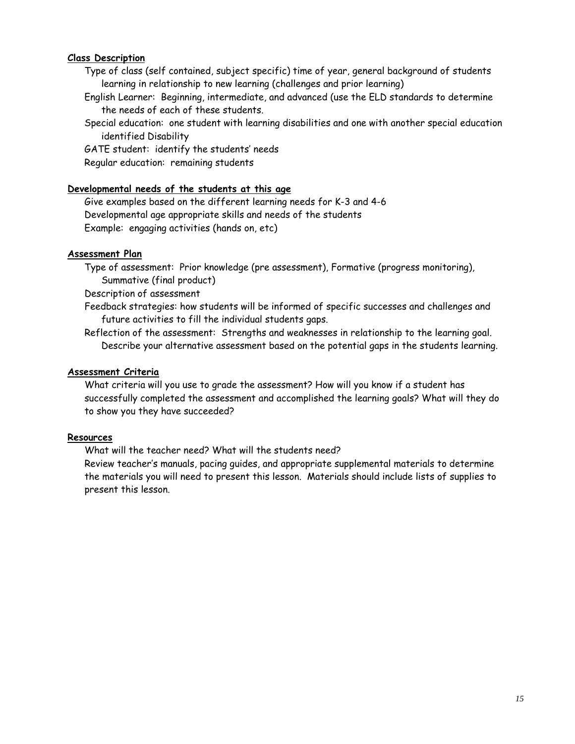#### **Class Description**

- Type of class (self contained, subject specific) time of year, general background of students learning in relationship to new learning (challenges and prior learning)
- English Learner: Beginning, intermediate, and advanced (use the ELD standards to determine the needs of each of these students.
- Special education: one student with learning disabilities and one with another special education identified Disability

GATE student: identify the students' needs Regular education: remaining students

### **Developmental needs of the students at this age**

Give examples based on the different learning needs for K-3 and 4-6 Developmental age appropriate skills and needs of the students Example: engaging activities (hands on, etc)

#### **Assessment Plan**

Type of assessment: Prior knowledge (pre assessment), Formative (progress monitoring), Summative (final product)

Description of assessment

Feedback strategies: how students will be informed of specific successes and challenges and future activities to fill the individual students gaps.

Reflection of the assessment: Strengths and weaknesses in relationship to the learning goal. Describe your alternative assessment based on the potential gaps in the students learning.

#### **Assessment Criteria**

What criteria will you use to grade the assessment? How will you know if a student has successfully completed the assessment and accomplished the learning goals? What will they do to show you they have succeeded?

#### **Resources**

What will the teacher need? What will the students need?

 the materials you will need to present this lesson. Materials should include lists of supplies to present this lesson. Review teacher's manuals, pacing guides, and appropriate supplemental materials to determine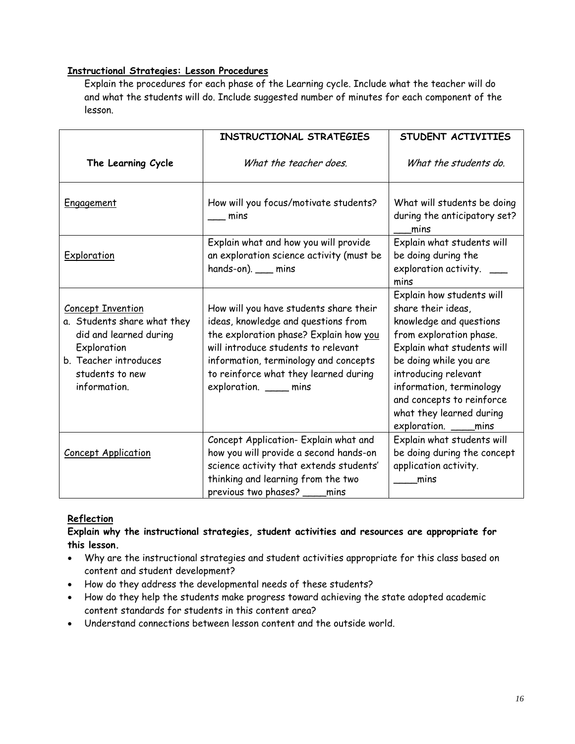## **Instructional Strategies: Lesson Procedures**

Explain the procedures for each phase of the Learning cycle. Include what the teacher will do and what the students will do. Include suggested number of minutes for each component of the lesson.

|                                                                                                                                                              | INSTRUCTIONAL STRATEGIES                                                                                                                                                                                                                                                   | STUDENT ACTIVITIES                                                                                                                                                                                                                                                                                  |
|--------------------------------------------------------------------------------------------------------------------------------------------------------------|----------------------------------------------------------------------------------------------------------------------------------------------------------------------------------------------------------------------------------------------------------------------------|-----------------------------------------------------------------------------------------------------------------------------------------------------------------------------------------------------------------------------------------------------------------------------------------------------|
| The Learning Cycle                                                                                                                                           | What the teacher does.                                                                                                                                                                                                                                                     | What the students do.                                                                                                                                                                                                                                                                               |
| Engagement                                                                                                                                                   | How will you focus/motivate students?<br>mins                                                                                                                                                                                                                              | What will students be doing<br>during the anticipatory set?<br>mins                                                                                                                                                                                                                                 |
| Exploration                                                                                                                                                  | Explain what and how you will provide<br>an exploration science activity (must be<br>hands-on). __ mins                                                                                                                                                                    | Explain what students will<br>be doing during the<br>exploration activity.<br>mins                                                                                                                                                                                                                  |
| <b>Concept Invention</b><br>a. Students share what they<br>did and learned during<br>Exploration<br>b. Teacher introduces<br>students to new<br>information. | How will you have students share their<br>ideas, knowledge and questions from<br>the exploration phase? Explain how you<br>will introduce students to relevant<br>information, terminology and concepts<br>to reinforce what they learned during<br>exploration. ____ mins | Explain how students will<br>share their ideas,<br>knowledge and questions<br>from exploration phase.<br>Explain what students will<br>be doing while you are<br>introducing relevant<br>information, terminology<br>and concepts to reinforce<br>what they learned during<br>exploration. ____mins |
| <b>Concept Application</b>                                                                                                                                   | Concept Application- Explain what and<br>how you will provide a second hands-on<br>science activity that extends students'<br>thinking and learning from the two<br>previous two phases? ____ mins                                                                         | Explain what students will<br>be doing during the concept<br>application activity.<br>mins                                                                                                                                                                                                          |

## **Reflection**

## **Explain why the instructional strategies, student activities and resources are appropriate for this lesson.**

- • Why are the instructional strategies and student activities appropriate for this class based on content and student development?
- How do they address the developmental needs of these students?
- How do they help the students make progress toward achieving the state adopted academic content standards for students in this content area?
- Understand connections between lesson content and the outside world.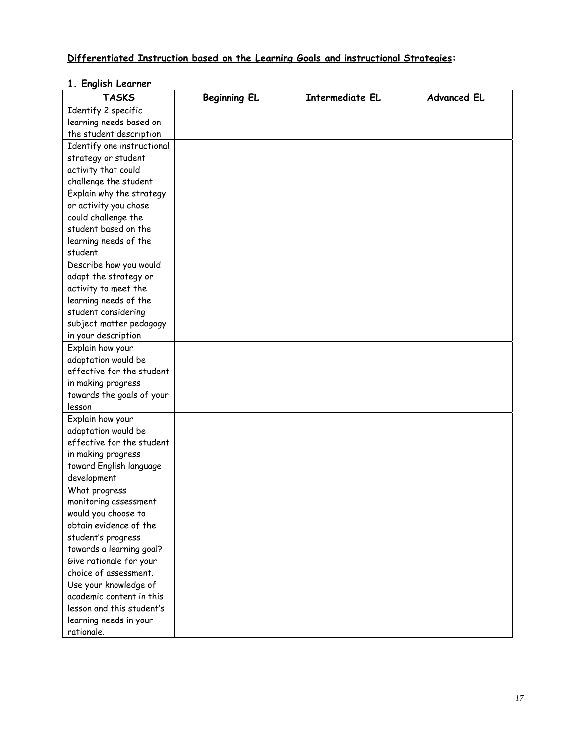# **Differentiated Instruction based on the Learning Goals and instructional Strategies:**

## **1. English Learner**

| <b>TASKS</b>               | <b>Beginning EL</b> | Intermediate EL | <b>Advanced EL</b> |
|----------------------------|---------------------|-----------------|--------------------|
| Identify 2 specific        |                     |                 |                    |
| learning needs based on    |                     |                 |                    |
| the student description    |                     |                 |                    |
| Identify one instructional |                     |                 |                    |
| strategy or student        |                     |                 |                    |
| activity that could        |                     |                 |                    |
| challenge the student      |                     |                 |                    |
| Explain why the strategy   |                     |                 |                    |
| or activity you chose      |                     |                 |                    |
| could challenge the        |                     |                 |                    |
| student based on the       |                     |                 |                    |
| learning needs of the      |                     |                 |                    |
| student                    |                     |                 |                    |
| Describe how you would     |                     |                 |                    |
| adapt the strategy or      |                     |                 |                    |
| activity to meet the       |                     |                 |                    |
| learning needs of the      |                     |                 |                    |
| student considering        |                     |                 |                    |
| subject matter pedagogy    |                     |                 |                    |
| in your description        |                     |                 |                    |
| Explain how your           |                     |                 |                    |
| adaptation would be        |                     |                 |                    |
| effective for the student  |                     |                 |                    |
| in making progress         |                     |                 |                    |
| towards the goals of your  |                     |                 |                    |
| lesson                     |                     |                 |                    |
| Explain how your           |                     |                 |                    |
| adaptation would be        |                     |                 |                    |
| effective for the student  |                     |                 |                    |
| in making progress         |                     |                 |                    |
| toward English language    |                     |                 |                    |
| development                |                     |                 |                    |
| What progress              |                     |                 |                    |
| monitoring assessment      |                     |                 |                    |
| would you choose to        |                     |                 |                    |
| obtain evidence of the     |                     |                 |                    |
| student's progress         |                     |                 |                    |
| towards a learning goal?   |                     |                 |                    |
| Give rationale for your    |                     |                 |                    |
| choice of assessment.      |                     |                 |                    |
| Use your knowledge of      |                     |                 |                    |
| academic content in this   |                     |                 |                    |
| lesson and this student's  |                     |                 |                    |
| learning needs in your     |                     |                 |                    |
| rationale.                 |                     |                 |                    |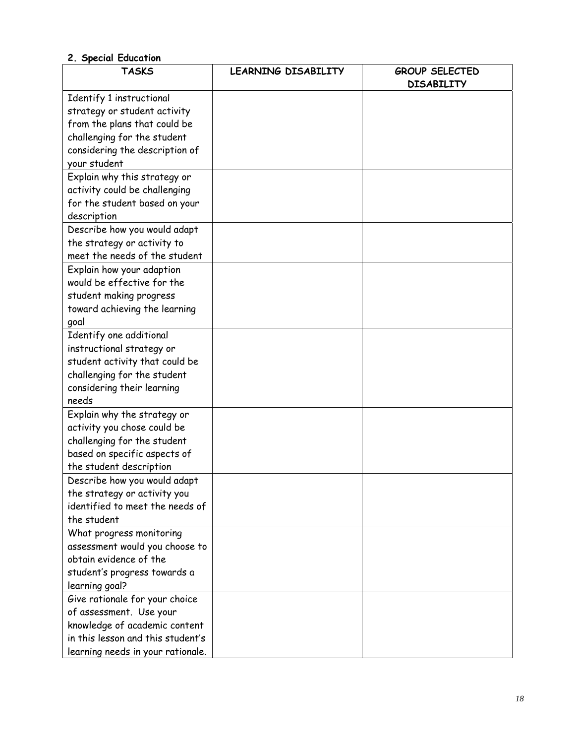| <b>TASKS</b>                      | LEARNING DISABILITY | <b>GROUP SELECTED</b><br><b>DISABILITY</b> |
|-----------------------------------|---------------------|--------------------------------------------|
| Identify 1 instructional          |                     |                                            |
| strategy or student activity      |                     |                                            |
| from the plans that could be      |                     |                                            |
| challenging for the student       |                     |                                            |
| considering the description of    |                     |                                            |
| your student                      |                     |                                            |
| Explain why this strategy or      |                     |                                            |
| activity could be challenging     |                     |                                            |
| for the student based on your     |                     |                                            |
| description                       |                     |                                            |
| Describe how you would adapt      |                     |                                            |
| the strategy or activity to       |                     |                                            |
| meet the needs of the student     |                     |                                            |
| Explain how your adaption         |                     |                                            |
| would be effective for the        |                     |                                            |
| student making progress           |                     |                                            |
| toward achieving the learning     |                     |                                            |
| goal                              |                     |                                            |
| Identify one additional           |                     |                                            |
| instructional strategy or         |                     |                                            |
| student activity that could be    |                     |                                            |
| challenging for the student       |                     |                                            |
| considering their learning        |                     |                                            |
| needs                             |                     |                                            |
| Explain why the strategy or       |                     |                                            |
| activity you chose could be       |                     |                                            |
| challenging for the student       |                     |                                            |
| based on specific aspects of      |                     |                                            |
| the student description           |                     |                                            |
| Describe how you would adapt      |                     |                                            |
| the strategy or activity you      |                     |                                            |
| identified to meet the needs of   |                     |                                            |
| the student                       |                     |                                            |
| What progress monitoring          |                     |                                            |
| assessment would you choose to    |                     |                                            |
| obtain evidence of the            |                     |                                            |
| student's progress towards a      |                     |                                            |
| learning goal?                    |                     |                                            |
| Give rationale for your choice    |                     |                                            |
| of assessment. Use your           |                     |                                            |
| knowledge of academic content     |                     |                                            |
| in this lesson and this student's |                     |                                            |
| learning needs in your rationale. |                     |                                            |

# **2. Special Education**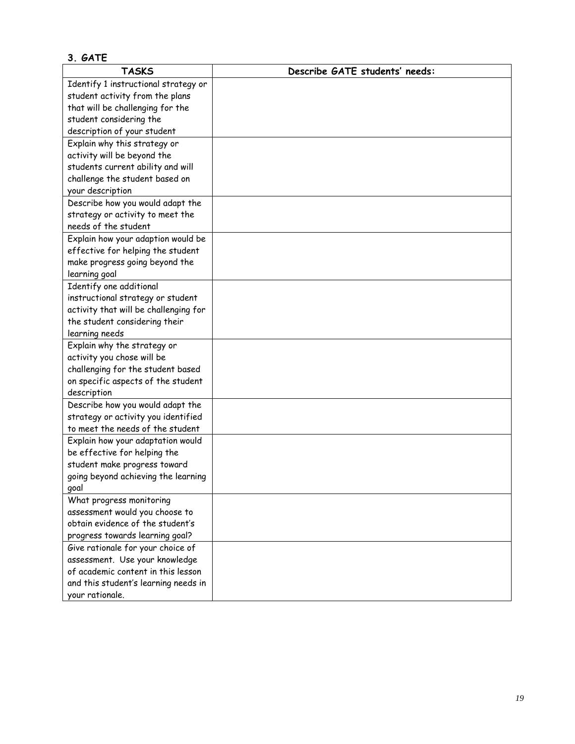### **3. GATE TASKS Describe GATE students' needs:**  Identify 1 instructional strategy or student activity from the plans that will be challenging for the student considering the description of your student Explain why this strategy or activity will be beyond the students current ability and will challenge the student based on your description Describe how you would adapt the strategy or activity to meet the needs of the student Explain how your adaption would be effective for helping the student make progress going beyond the learning goal Identify one additional instructional strategy or student activity that will be challenging for the student considering their learning needs Explain why the strategy or activity you chose will be challenging for the student based on specific aspects of the student description Describe how you would adapt the strategy or activity you identified to meet the needs of the student Explain how your adaptation would be effective for helping the student make progress toward going beyond achieving the learning goal What progress monitoring assessment would you choose to obtain evidence of the student's progress towards learning goal? Give rationale for your choice of assessment. Use your knowledge of academic content in this lesson and this student's learning needs in your rationale.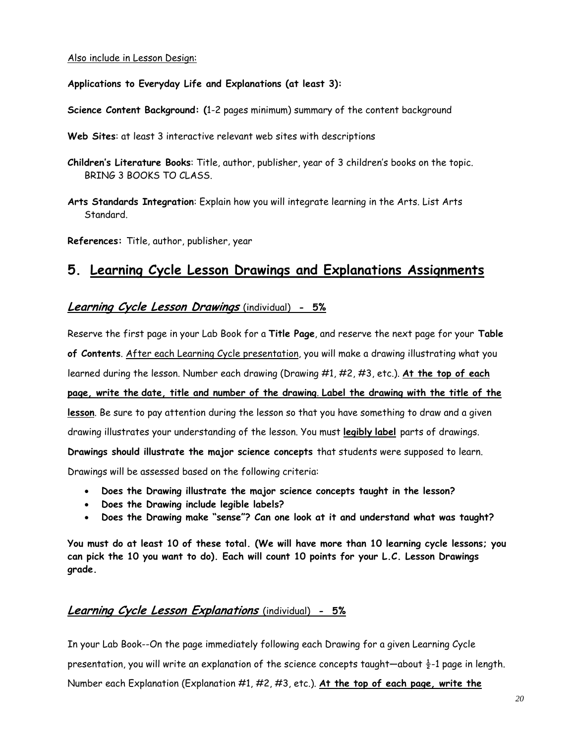#### Also include in Lesson Design:

### **Applications to Everyday Life and Explanations (at least 3):**

**Science Content Background: (**1-2 pages minimum) summary of the content background

**Web Sites**: at least 3 interactive relevant web sites with descriptions

- **Children's Literature Books**: Title, author, publisher, year of 3 children's books on the topic. BRING 3 BOOKS TO CLASS.
- **Arts Standards Integration**: Explain how you will integrate learning in the Arts. List Arts Standard.

**References:** Title, author, publisher, year

# **5. Learning Cycle Lesson Drawings and Explanations Assignments**

# **Learning Cycle Lesson Drawings** (individual) **- 5%**

Reserve the first page in your Lab Book for a **Title Page**, and reserve the next page for your **Table of Contents**. After each Learning Cycle presentation, you will make a drawing illustrating what you learned during the lesson. Number each drawing (Drawing #1, #2, #3, etc.). **At the top of each page, write the date, title and number of the drawing**. **Label the drawing with the title of the lesson**. Be sure to pay attention during the lesson so that you have something to draw and a given drawing illustrates your understanding of the lesson. You must **legibly label** parts of drawings. **Drawings should illustrate the major science concepts** that students were supposed to learn. Drawings will be assessed based on the following criteria:

- **Does the Drawing illustrate the major science concepts taught in the lesson?**
- **Does the Drawing include legible labels?**
- **Does the Drawing make "sense"? Can one look at it and understand what was taught?**

**You must do at least 10 of these total. (We will have more than 10 learning cycle lessons; you can pick the 10 you want to do). Each will count 10 points for your L.C. Lesson Drawings grade.** 

# **Learning Cycle Lesson Explanations** (individual) **- 5%**

In your Lab Book--On the page immediately following each Drawing for a given Learning Cycle presentation, you will write an explanation of the science concepts taught—about  $\frac{1}{2}$ -1 page in length. Number each Explanation (Explanation #1, #2, #3, etc.). **At the top of each page, write the**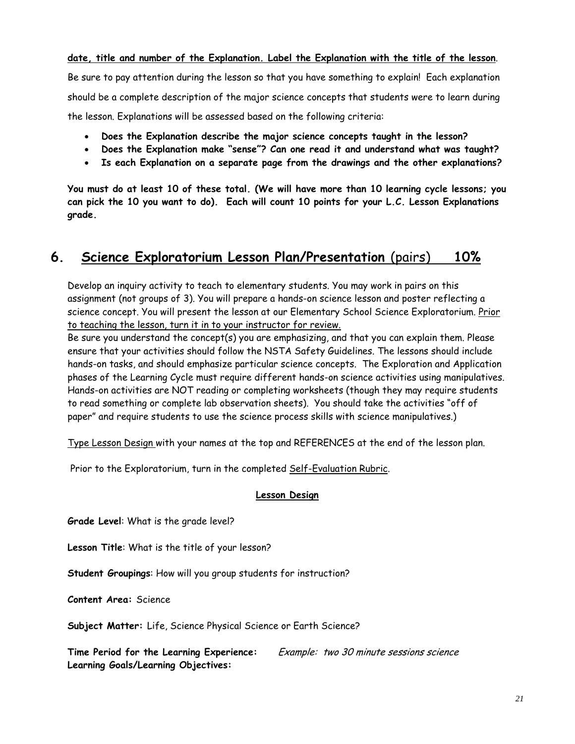**date, title and number of the Explanation. Label the Explanation with the title of the lesson**.

Be sure to pay attention during the lesson so that you have something to explain! Each explanation should be a complete description of the major science concepts that students were to learn during the lesson. Explanations will be assessed based on the following criteria:

- **Does the Explanation describe the major science concepts taught in the lesson?**
- **Does the Explanation make "sense"? Can one read it and understand what was taught?**
- **Is each Explanation on a separate page from the drawings and the other explanations?**

**You must do at least 10 of these total. (We will have more than 10 learning cycle lessons; you can pick the 10 you want to do). Each will count 10 points for your L.C. Lesson Explanations grade.** 

# **6. Science Exploratorium Lesson Plan/Presentation** (pairs) **10%**

 assignment (not groups of 3). You will prepare a hands-on science lesson and poster reflecting a Develop an inquiry activity to teach to elementary students. You may work in pairs on this science concept. You will present the lesson at our Elementary School Science Exploratorium. Prior to teaching the lesson, turn it in to your instructor for review.

 hands-on tasks, and should emphasize particular science concepts. The Exploration and Application paper" and require students to use the science process skills with science manipulatives.) Be sure you understand the concept(s) you are emphasizing, and that you can explain them. Please ensure that your activities should follow the NSTA Safety Guidelines. The lessons should include phases of the Learning Cycle must require different hands-on science activities using manipulatives. Hands-on activities are NOT reading or completing worksheets (though they may require students to read something or complete lab observation sheets). You should take the activities "off of

Type Lesson Design with your names at the top and REFERENCES at the end of the lesson plan.

Prior to the Exploratorium, turn in the completed Self-Evaluation Rubric.

#### **Lesson Design**

**Grade Level**: What is the grade level?

**Lesson Title**: What is the title of your lesson?

**Student Groupings**: How will you group students for instruction?

**Content Area:** Science

**Subject Matter:** Life, Science Physical Science or Earth Science?

**Time Period for the Learning Experience:** Example: two 30 minute sessions science **Learning Goals/Learning Objectives:**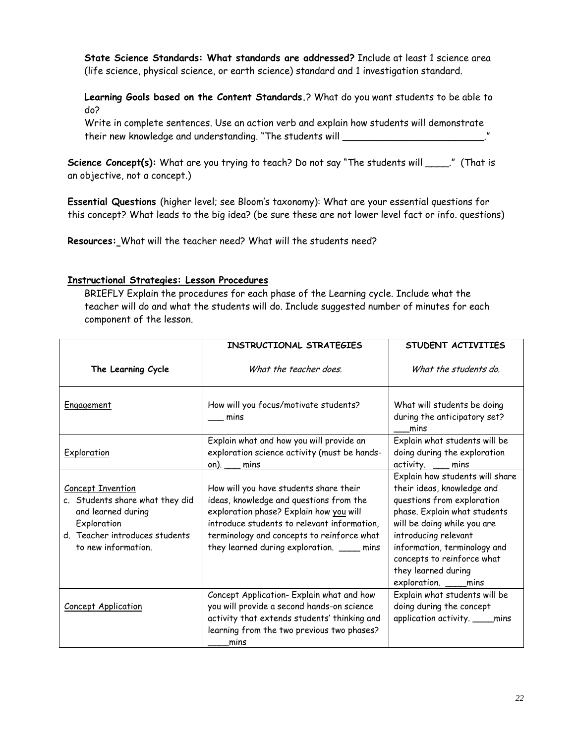**State Science Standards: What standards are addressed?** Include at least 1 science area (life science, physical science, or earth science) standard and 1 investigation standard.

**Learning Goals based on the Content Standards.**? What do you want students to be able to do?

 their new knowledge and understanding. "The students will \_\_\_\_\_\_\_\_\_\_\_\_\_\_\_\_\_\_\_\_\_\_\_\_." Write in complete sentences. Use an action verb and explain how students will demonstrate

Science Concept(s): What are you trying to teach? Do not say "The students will \_\_\_\_\_." (That is an objective, not a concept.)

**Essential Questions** (higher level; see Bloom's taxonomy): What are your essential questions for this concept? What leads to the big idea? (be sure these are not lower level fact or info. questions)

**Resources:** What will the teacher need? What will the students need?

### **Instructional Strategies: Lesson Procedures**

BRIEFLY Explain the procedures for each phase of the Learning cycle. Include what the teacher will do and what the students will do. Include suggested number of minutes for each component of the lesson.

|                                                                                                                                                           | INSTRUCTIONAL STRATEGIES                                                                                                                                                                                                                                                | STUDENT ACTIVITIES                                                                                                                                                                                                                                                                               |
|-----------------------------------------------------------------------------------------------------------------------------------------------------------|-------------------------------------------------------------------------------------------------------------------------------------------------------------------------------------------------------------------------------------------------------------------------|--------------------------------------------------------------------------------------------------------------------------------------------------------------------------------------------------------------------------------------------------------------------------------------------------|
| The Learning Cycle                                                                                                                                        | What the teacher does.                                                                                                                                                                                                                                                  | What the students do.                                                                                                                                                                                                                                                                            |
| Engagement                                                                                                                                                | How will you focus/motivate students?<br>mins                                                                                                                                                                                                                           | What will students be doing<br>during the anticipatory set?<br>mins                                                                                                                                                                                                                              |
| Exploration                                                                                                                                               | Explain what and how you will provide an<br>exploration science activity (must be hands-<br>on). $\_\_\$ mins                                                                                                                                                           | Explain what students will be<br>doing during the exploration<br>activity. __ mins                                                                                                                                                                                                               |
| <b>Concept Invention</b><br>c. Students share what they did<br>and learned during<br>Exploration<br>d. Teacher introduces students<br>to new information. | How will you have students share their<br>ideas, knowledge and questions from the<br>exploration phase? Explain how you will<br>introduce students to relevant information,<br>terminology and concepts to reinforce what<br>they learned during exploration. ____ mins | Explain how students will share<br>their ideas, knowledge and<br>questions from exploration<br>phase. Explain what students<br>will be doing while you are<br>introducing relevant<br>information, terminology and<br>concepts to reinforce what<br>they learned during<br>exploration. ____mins |
| <b>Concept Application</b>                                                                                                                                | Concept Application- Explain what and how<br>you will provide a second hands-on science<br>activity that extends students' thinking and<br>learning from the two previous two phases?<br>mins                                                                           | Explain what students will be<br>doing during the concept<br>application activity. ____mins                                                                                                                                                                                                      |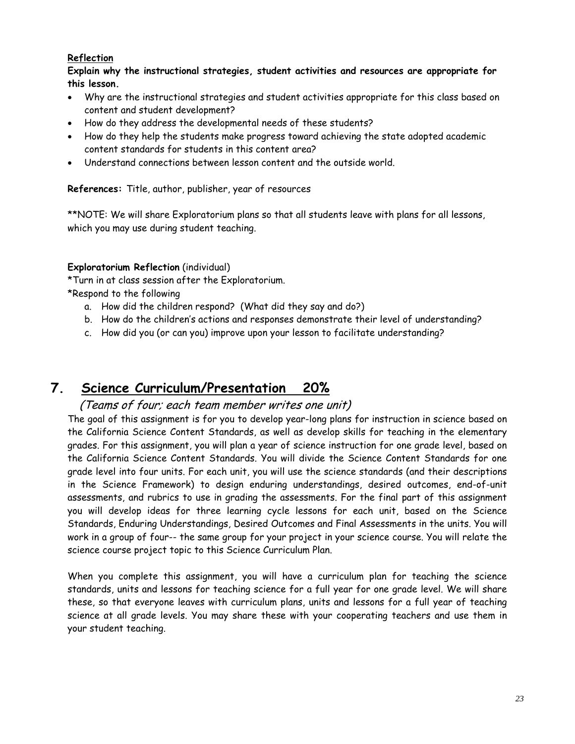# **Reflection**

**Explain why the instructional strategies, student activities and resources are appropriate for this lesson.** 

- Why are the instructional strategies and student activities appropriate for this class based on content and student development?
- How do they address the developmental needs of these students?
- How do they help the students make progress toward achieving the state adopted academic content standards for students in this content area?
- Understand connections between lesson content and the outside world.

### **References:** Title, author, publisher, year of resources

\*\*NOTE: We will share Exploratorium plans so that all students leave with plans for all lessons, which you may use during student teaching.

### **Exploratorium Reflection** (individual)

\*Turn in at class session after the Exploratorium.

\*Respond to the following

- a. How did the children respond? (What did they say and do?)
- b. How do the children's actions and responses demonstrate their level of understanding?
- c. How did you (or can you) improve upon your lesson to facilitate understanding?

# **7. Science Curriculum/Presentation 20%**

# (Teams of four; each team member writes one unit)

The goal of this assignment is for you to develop year-long plans for instruction in science based on the California Science Content Standards, as well as develop skills for teaching in the elementary grades. For this assignment, you will plan a year of science instruction for one grade level, based on the California Science Content Standards. You will divide the Science Content Standards for one grade level into four units. For each unit, you will use the science standards (and their descriptions in the Science Framework) to design enduring understandings, desired outcomes, end-of-unit assessments, and rubrics to use in grading the assessments. For the final part of this assignment you will develop ideas for three learning cycle lessons for each unit, based on the Science Standards, Enduring Understandings, Desired Outcomes and Final Assessments in the units. You will work in a group of four-- the same group for your project in your science course. You will relate the science course project topic to this Science Curriculum Plan.

When you complete this assignment, you will have a curriculum plan for teaching the science standards, units and lessons for teaching science for a full year for one grade level. We will share these, so that everyone leaves with curriculum plans, units and lessons for a full year of teaching science at all grade levels. You may share these with your cooperating teachers and use them in your student teaching.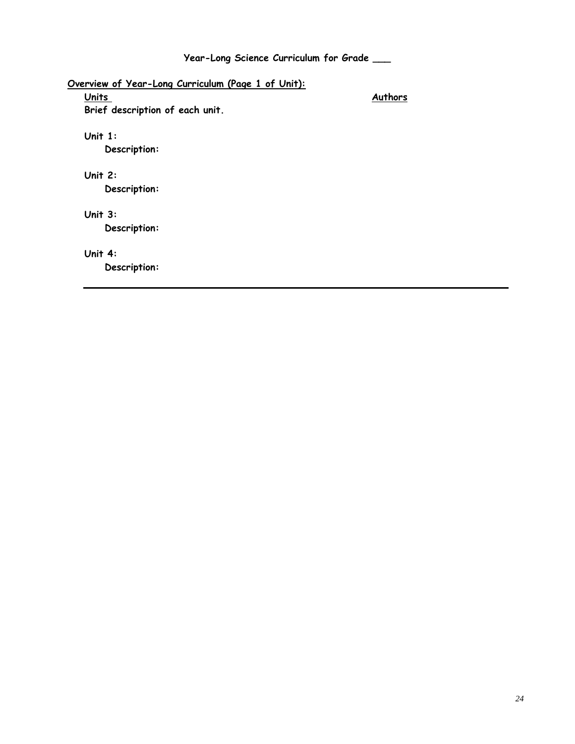# **Year-Long Science Curriculum for Grade \_\_\_**

| <u> Overview of Year-Long Curriculum (Page 1 of Unit):</u> |         |  |  |
|------------------------------------------------------------|---------|--|--|
| <b>Units</b>                                               | Authors |  |  |
| Brief description of each unit.                            |         |  |  |
| Unit $1:$                                                  |         |  |  |
| Description:                                               |         |  |  |
| Unit $2:$                                                  |         |  |  |
| Description:                                               |         |  |  |
| Unit $3:$                                                  |         |  |  |
| Description:                                               |         |  |  |
| Unit 4:                                                    |         |  |  |
| Description:                                               |         |  |  |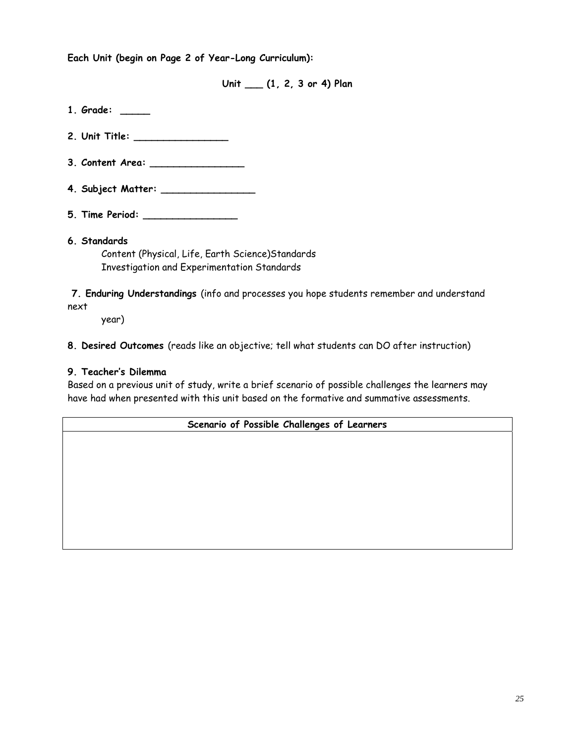**Each Unit (begin on Page 2 of Year-Long Curriculum):** 

**Unit \_\_\_ (1, 2, 3 or 4) Plan 1. Grade: \_\_\_\_\_ 2. Unit Title: \_\_\_\_\_\_\_\_\_\_\_\_\_\_\_\_ 3. Content Area: \_\_\_\_\_\_\_\_\_\_\_\_\_\_\_\_ 4. Subject Matter: \_\_\_\_\_\_\_\_\_\_\_\_\_\_\_\_ 5. Time Period: \_\_\_\_\_\_\_\_\_\_\_\_\_\_\_\_ 6. Standards**  Content (Physical, Life, Earth Science)Standards Investigation and Experimentation Standards

**7. Enduring Understandings** (info and processes you hope students remember and understand next

year)

**8. Desired Outcomes** (reads like an objective; tell what students can DO after instruction)

## **9. Teacher's Dilemma**

Based on a previous unit of study, write a brief scenario of possible challenges the learners may have had when presented with this unit based on the formative and summative assessments.

**Scenario of Possible Challenges of Learners**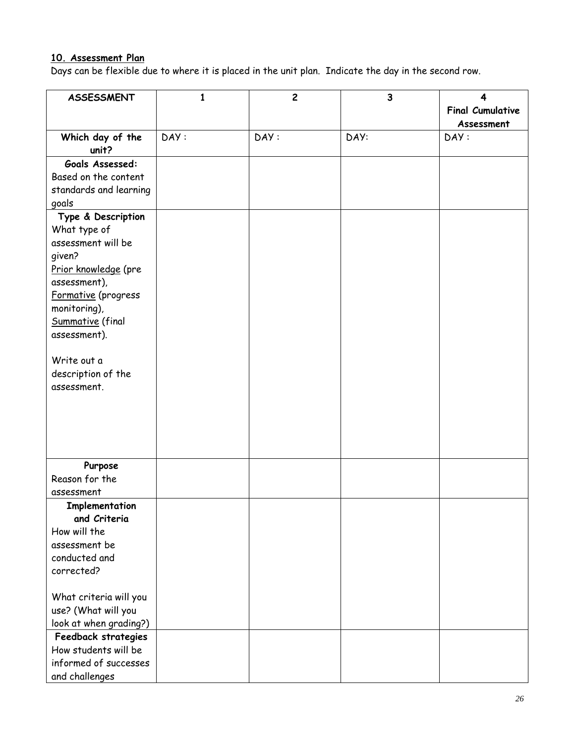### **10. Assessment Plan**

Days can be flexible due to where it is placed in the unit plan. Indicate the day in the second row.

| <b>ASSESSMENT</b>                | 1    | $\overline{c}$ | $\overline{\mathbf{3}}$ | 4                       |
|----------------------------------|------|----------------|-------------------------|-------------------------|
|                                  |      |                |                         | <b>Final Cumulative</b> |
|                                  |      |                |                         | Assessment              |
| Which day of the                 | DAY: | DAY:           | DAY:                    | DAY:                    |
| unit?                            |      |                |                         |                         |
| Goals Assessed:                  |      |                |                         |                         |
| Based on the content             |      |                |                         |                         |
| standards and learning           |      |                |                         |                         |
| goals                            |      |                |                         |                         |
| Type & Description               |      |                |                         |                         |
| What type of                     |      |                |                         |                         |
| assessment will be               |      |                |                         |                         |
| given?                           |      |                |                         |                         |
| Prior knowledge (pre             |      |                |                         |                         |
| assessment),                     |      |                |                         |                         |
| Formative (progress              |      |                |                         |                         |
| monitoring),<br>Summative (final |      |                |                         |                         |
| assessment).                     |      |                |                         |                         |
|                                  |      |                |                         |                         |
| Write out a                      |      |                |                         |                         |
| description of the               |      |                |                         |                         |
| assessment.                      |      |                |                         |                         |
|                                  |      |                |                         |                         |
|                                  |      |                |                         |                         |
|                                  |      |                |                         |                         |
|                                  |      |                |                         |                         |
|                                  |      |                |                         |                         |
| Purpose                          |      |                |                         |                         |
| Reason for the                   |      |                |                         |                         |
| assessment                       |      |                |                         |                         |
| Implementation                   |      |                |                         |                         |
| and Criteria                     |      |                |                         |                         |
| How will the                     |      |                |                         |                         |
| assessment be                    |      |                |                         |                         |
| conducted and<br>corrected?      |      |                |                         |                         |
|                                  |      |                |                         |                         |
| What criteria will you           |      |                |                         |                         |
| use? (What will you              |      |                |                         |                         |
| look at when grading?)           |      |                |                         |                         |
| Feedback strategies              |      |                |                         |                         |
| How students will be             |      |                |                         |                         |
| informed of successes            |      |                |                         |                         |
| and challenges                   |      |                |                         |                         |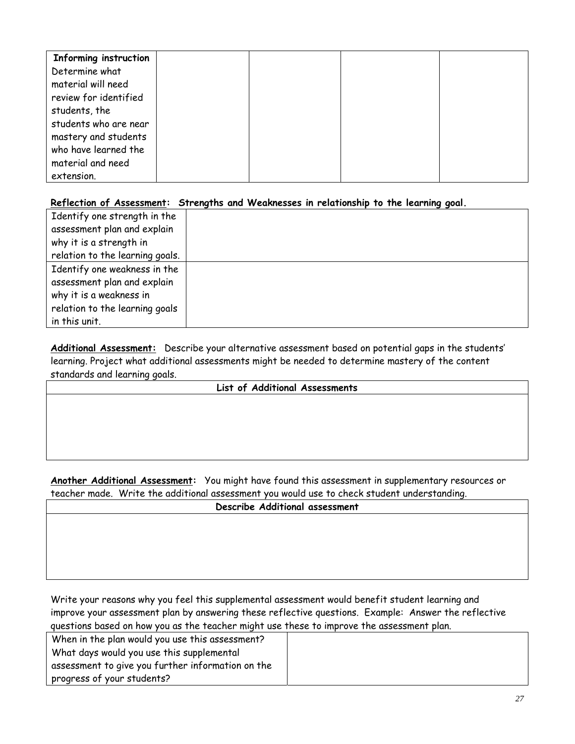| Informing instruction |  |  |
|-----------------------|--|--|
| Determine what        |  |  |
| material will need    |  |  |
| review for identified |  |  |
| students, the         |  |  |
| students who are near |  |  |
| mastery and students  |  |  |
| who have learned the  |  |  |
| material and need     |  |  |
| extension.            |  |  |

### **Reflection of Assessment: Strengths and Weaknesses in relationship to the learning goal.**

| Identify one strength in the    |  |
|---------------------------------|--|
| assessment plan and explain     |  |
| why it is a strength in         |  |
| relation to the learning goals. |  |
| Identify one weakness in the    |  |
| assessment plan and explain     |  |
| why it is a weakness in         |  |
| relation to the learning goals  |  |
| in this unit.                   |  |

 **Additional Assessment:** Describe your alternative assessment based on potential gaps in the students' standards and learning goals. learning. Project what additional assessments might be needed to determine mastery of the content

#### **List of Additional Assessments**

**Another Additional Assessment:** You might have found this assessment in supplementary resources or teacher made. Write the additional assessment you would use to check student understanding.

# **Describe Additional assessment**

 improve your assessment plan by answering these reflective questions. Example: Answer the reflective Write your reasons why you feel this supplemental assessment would benefit student learning and questions based on how you as the teacher might use these to improve the assessment plan.

When in the plan would you use this assessment? What days would you use this supplemental assessment to give you further information on the progress of your students?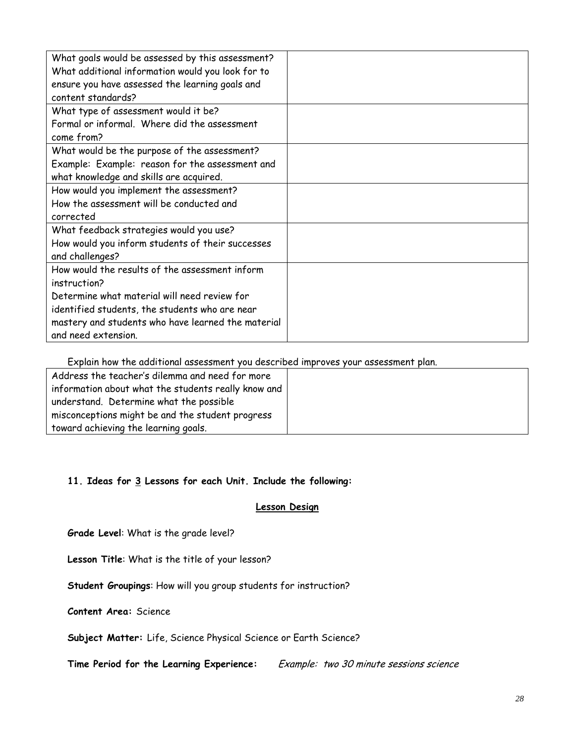| What goals would be assessed by this assessment?<br>What additional information would you look for to<br>ensure you have assessed the learning goals and |  |
|----------------------------------------------------------------------------------------------------------------------------------------------------------|--|
| content standards?                                                                                                                                       |  |
| What type of assessment would it be?                                                                                                                     |  |
| Formal or informal. Where did the assessment                                                                                                             |  |
| come from?                                                                                                                                               |  |
| What would be the purpose of the assessment?                                                                                                             |  |
| Example: Example: reason for the assessment and                                                                                                          |  |
| what knowledge and skills are acquired.                                                                                                                  |  |
| How would you implement the assessment?                                                                                                                  |  |
| How the assessment will be conducted and                                                                                                                 |  |
| corrected                                                                                                                                                |  |
| What feedback strategies would you use?                                                                                                                  |  |
| How would you inform students of their successes                                                                                                         |  |
| and challenges?                                                                                                                                          |  |
| How would the results of the assessment inform                                                                                                           |  |
| instruction?                                                                                                                                             |  |
| Determine what material will need review for                                                                                                             |  |
| identified students, the students who are near                                                                                                           |  |
| mastery and students who have learned the material                                                                                                       |  |
| and need extension.                                                                                                                                      |  |

Explain how the additional assessment you described improves your assessment plan.

| information about what the students really know and |
|-----------------------------------------------------|

## **11. Ideas for 3 Lessons for each Unit. Include the following:**

#### **Lesson Design**

**Grade Level**: What is the grade level?

**Lesson Title**: What is the title of your lesson?

**Student Groupings**: How will you group students for instruction?

**Content Area:** Science

**Subject Matter:** Life, Science Physical Science or Earth Science?

**Time Period for the Learning Experience:** Example: two 30 minute sessions science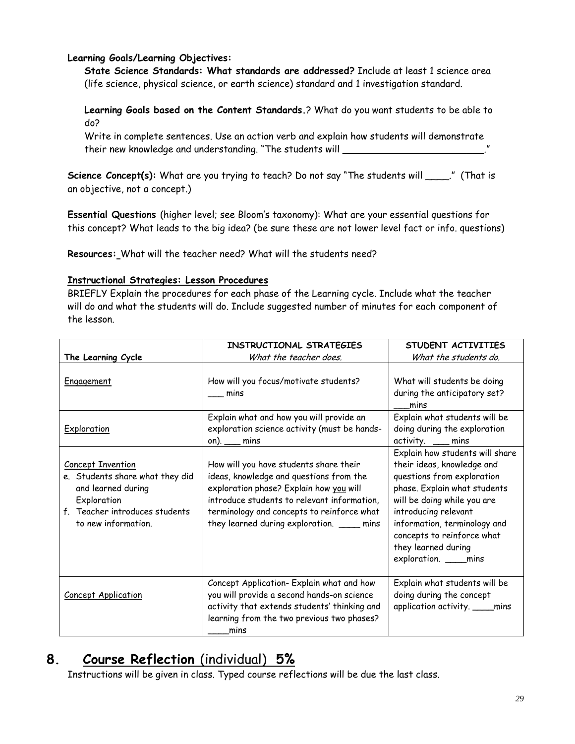# **Learning Goals/Learning Objectives:**

**State Science Standards: What standards are addressed?** Include at least 1 science area (life science, physical science, or earth science) standard and 1 investigation standard.

**Learning Goals based on the Content Standards.**? What do you want students to be able to do?

Write in complete sentences. Use an action verb and explain how students will demonstrate their new knowledge and understanding. "The students will \_\_\_\_\_\_\_\_\_\_\_\_\_\_\_\_\_\_\_\_\_\_

Science Concept(s): What are you trying to teach? Do not say "The students will \_\_\_\_." (That is an objective, not a concept.)

**Essential Questions** (higher level; see Bloom's taxonomy): What are your essential questions for this concept? What leads to the big idea? (be sure these are not lower level fact or info. questions)

**Resources:** What will the teacher need? What will the students need?

## **Instructional Strategies: Lesson Procedures**

BRIEFLY Explain the procedures for each phase of the Learning cycle. Include what the teacher will do and what the students will do. Include suggested number of minutes for each component of the lesson.

|                                                                                                                                                           | INSTRUCTIONAL STRATEGIES                                                                                                                                                                                                                                                 | STUDENT ACTIVITIES                                                                                                                                                                                                                                                                               |
|-----------------------------------------------------------------------------------------------------------------------------------------------------------|--------------------------------------------------------------------------------------------------------------------------------------------------------------------------------------------------------------------------------------------------------------------------|--------------------------------------------------------------------------------------------------------------------------------------------------------------------------------------------------------------------------------------------------------------------------------------------------|
| The Learning Cycle                                                                                                                                        | What the teacher does.                                                                                                                                                                                                                                                   | What the students do.                                                                                                                                                                                                                                                                            |
| Engagement                                                                                                                                                | How will you focus/motivate students?<br>mins                                                                                                                                                                                                                            | What will students be doing<br>during the anticipatory set?<br>mins                                                                                                                                                                                                                              |
| Exploration                                                                                                                                               | Explain what and how you will provide an<br>exploration science activity (must be hands-<br>on). $\_\_\$ mins                                                                                                                                                            | Explain what students will be<br>doing during the exploration<br>activity. __ mins                                                                                                                                                                                                               |
| <b>Concept Invention</b><br>e. Students share what they did<br>and learned during<br>Exploration<br>f. Teacher introduces students<br>to new information. | How will you have students share their<br>ideas, knowledge and questions from the<br>exploration phase? Explain how you will<br>introduce students to relevant information,<br>terminology and concepts to reinforce what<br>they learned during exploration. _____ mins | Explain how students will share<br>their ideas, knowledge and<br>questions from exploration<br>phase. Explain what students<br>will be doing while you are<br>introducing relevant<br>information, terminology and<br>concepts to reinforce what<br>they learned during<br>exploration. ____mins |
| <b>Concept Application</b>                                                                                                                                | Concept Application- Explain what and how<br>you will provide a second hands-on science<br>activity that extends students' thinking and<br>learning from the two previous two phases?<br>mins                                                                            | Explain what students will be<br>doing during the concept<br>application activity. _____ mins                                                                                                                                                                                                    |

# **8. Course Reflection** (individual) **5%**

Instructions will be given in class. Typed course reflections will be due the last class.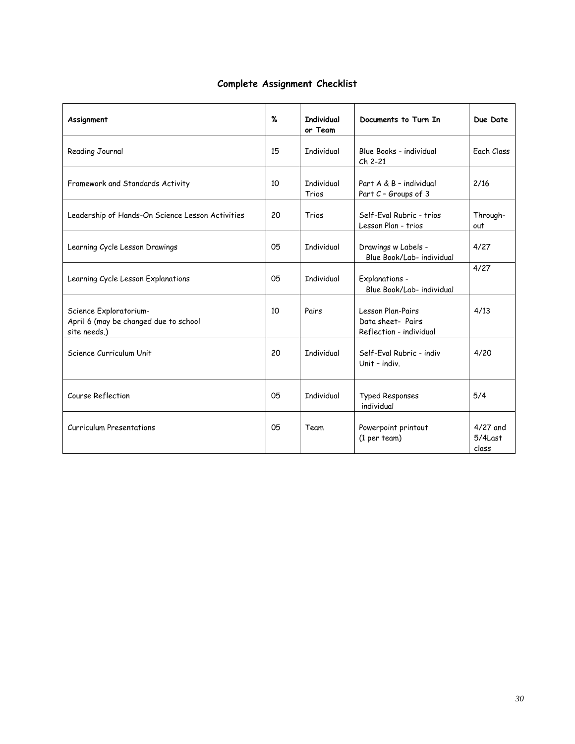# **Complete Assignment Checklist**

| Assignment                                                                      | %  | <b>Individual</b><br>or Team | Documents to Turn In                                              | Due Date                          |
|---------------------------------------------------------------------------------|----|------------------------------|-------------------------------------------------------------------|-----------------------------------|
| Reading Journal                                                                 | 15 | <b>Individual</b>            | Blue Books - individual<br>Ch 2-21                                | Fach Class                        |
| Framework and Standards Activity                                                | 10 | Tndividual<br>Trios          | Part A & B - individual<br>Part C - Groups of 3                   | 2/16                              |
| Leadership of Hands-On Science Lesson Activities                                | 20 | Trios                        | Self-Eval Rubric - trios<br>Lesson Plan - trios                   | Through-<br>out                   |
| Learning Cycle Lesson Drawings                                                  | 05 | <b>Individual</b>            | Drawings w Labels -<br>Blue Book/Lab- individual                  | 4/27                              |
| Learning Cycle Lesson Explanations                                              | 05 | <b>Individual</b>            | Explanations -<br>Blue Book/Lab- individual                       | 4/27                              |
| Science Exploratorium-<br>April 6 (may be changed due to school<br>site needs.) | 10 | Pairs                        | Lesson Plan-Pairs<br>Data sheet- Pairs<br>Reflection - individual | 4/13                              |
| Science Curriculum Unit                                                         | 20 | <b>Individual</b>            | Self-Fval Rubric - indiv<br>Unit - indiv.                         | 4/20                              |
| Course Reflection                                                               | 05 | <b>Individual</b>            | <b>Typed Responses</b><br>individual                              | 5/4                               |
| <b>Curriculum Presentations</b>                                                 | 05 | Team                         | Powerpoint printout<br>(1 per team)                               | $4/27$ and<br>$5/4$ Last<br>class |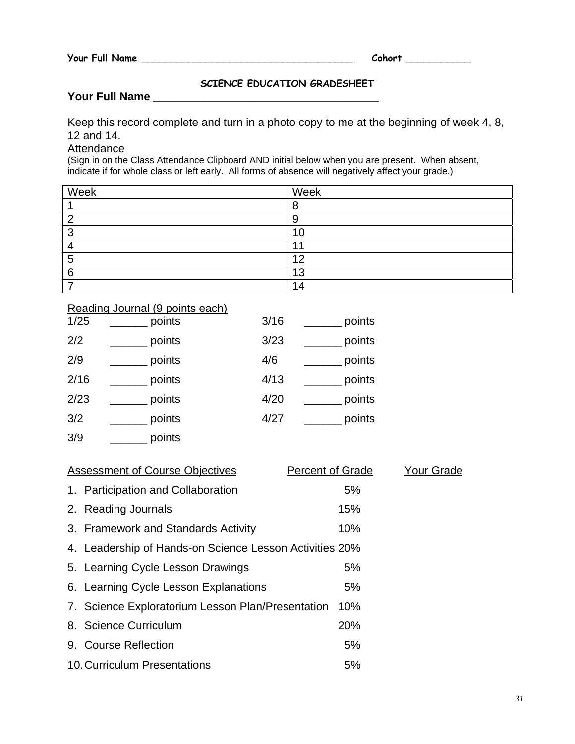# **SCIENCE EDUCATION GRADESHEET**

# **Your Full Name \_\_\_\_\_\_\_\_\_\_\_\_\_\_\_\_\_\_\_\_\_\_\_\_\_\_\_\_\_\_\_\_\_\_\_\_**

Keep this record complete and turn in a photo copy to me at the beginning of week 4, 8, 12 and 14.

# **Attendance**

(Sign in on the Class Attendance Clipboard AND initial below when you are present. When absent, indicate if for whole class or left early. All forms of absence will negatively affect your grade.)

| Week | Week |
|------|------|
|      | O    |
|      | У    |
| ,    | 10   |
|      |      |
|      | ィク   |
| ี    | 13   |
|      | 14   |

### Reading Journal (9 points each)

| 1/25 | points | 3/16 | points |
|------|--------|------|--------|
| 2/2  | points | 3/23 | points |
| 2/9  | points | 4/6  | points |
| 2/16 | points | 4/13 | points |
| 2/23 | points | 4/20 | points |
| 3/2  | points | 4/27 | points |
| 3/9  | points |      |        |

| <b>Assessment of Course Objectives</b>                  | <b>Percent of Grade</b> | <b>Your Grade</b> |
|---------------------------------------------------------|-------------------------|-------------------|
| 1. Participation and Collaboration                      | 5%                      |                   |
| 2. Reading Journals                                     | 15%                     |                   |
| 3. Framework and Standards Activity                     | 10%                     |                   |
| 4. Leadership of Hands-on Science Lesson Activities 20% |                         |                   |
| 5. Learning Cycle Lesson Drawings                       | 5%                      |                   |
| 6. Learning Cycle Lesson Explanations                   | 5%                      |                   |
| 7. Science Exploratorium Lesson Plan/Presentation       | 10%                     |                   |
| 8. Science Curriculum                                   | 20%                     |                   |
| 9. Course Reflection                                    | 5%                      |                   |
| 10. Curriculum Presentations                            | 5%                      |                   |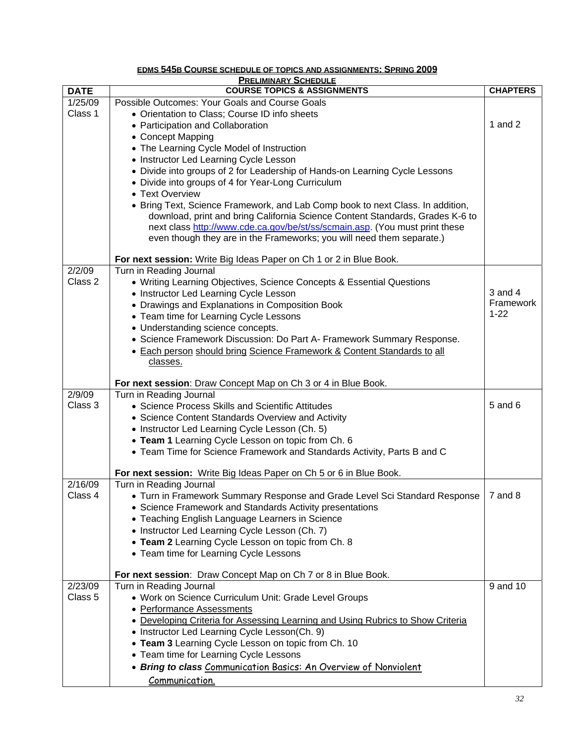| <b>PRELIMINARY SCHEDULE</b> |                                                                                      |                 |  |  |
|-----------------------------|--------------------------------------------------------------------------------------|-----------------|--|--|
| <b>DATE</b>                 | <b>COURSE TOPICS &amp; ASSIGNMENTS</b>                                               | <b>CHAPTERS</b> |  |  |
| 1/25/09                     | Possible Outcomes: Your Goals and Course Goals                                       |                 |  |  |
| Class 1                     | • Orientation to Class; Course ID info sheets                                        |                 |  |  |
|                             | • Participation and Collaboration                                                    | 1 and $2$       |  |  |
|                             | • Concept Mapping                                                                    |                 |  |  |
|                             | • The Learning Cycle Model of Instruction                                            |                 |  |  |
|                             | • Instructor Led Learning Cycle Lesson                                               |                 |  |  |
|                             | • Divide into groups of 2 for Leadership of Hands-on Learning Cycle Lessons          |                 |  |  |
|                             | • Divide into groups of 4 for Year-Long Curriculum                                   |                 |  |  |
|                             | • Text Overview                                                                      |                 |  |  |
|                             | • Bring Text, Science Framework, and Lab Comp book to next Class. In addition,       |                 |  |  |
|                             | download, print and bring California Science Content Standards, Grades K-6 to        |                 |  |  |
|                             | next class http://www.cde.ca.gov/be/st/ss/scmain.asp. (You must print these          |                 |  |  |
|                             | even though they are in the Frameworks; you will need them separate.)                |                 |  |  |
|                             | For next session: Write Big Ideas Paper on Ch 1 or 2 in Blue Book.                   |                 |  |  |
| 2/2/09                      | Turn in Reading Journal                                                              |                 |  |  |
| Class 2                     | • Writing Learning Objectives, Science Concepts & Essential Questions                |                 |  |  |
|                             | • Instructor Led Learning Cycle Lesson                                               | $3$ and $4$     |  |  |
|                             | • Drawings and Explanations in Composition Book                                      | Framework       |  |  |
|                             | • Team time for Learning Cycle Lessons                                               | $1 - 22$        |  |  |
|                             | • Understanding science concepts.                                                    |                 |  |  |
|                             | • Science Framework Discussion: Do Part A- Framework Summary Response.               |                 |  |  |
|                             | • Each person should bring Science Framework & Content Standards to all<br>classes.  |                 |  |  |
|                             |                                                                                      |                 |  |  |
|                             | For next session: Draw Concept Map on Ch 3 or 4 in Blue Book.                        |                 |  |  |
| 2/9/09                      | Turn in Reading Journal                                                              |                 |  |  |
| Class 3                     | • Science Process Skills and Scientific Attitudes                                    | $5$ and $6$     |  |  |
|                             | • Science Content Standards Overview and Activity                                    |                 |  |  |
|                             | • Instructor Led Learning Cycle Lesson (Ch. 5)                                       |                 |  |  |
|                             | • Team 1 Learning Cycle Lesson on topic from Ch. 6                                   |                 |  |  |
|                             | • Team Time for Science Framework and Standards Activity, Parts B and C              |                 |  |  |
|                             | For next session: Write Big Ideas Paper on Ch 5 or 6 in Blue Book.                   |                 |  |  |
| 2/16/09                     | Turn in Reading Journal                                                              |                 |  |  |
| Class 4                     | • Turn in Framework Summary Response and Grade Level Sci Standard Response   7 and 8 |                 |  |  |
|                             | • Science Framework and Standards Activity presentations                             |                 |  |  |
|                             | • Teaching English Language Learners in Science                                      |                 |  |  |
|                             | • Instructor Led Learning Cycle Lesson (Ch. 7)                                       |                 |  |  |
|                             | • Team 2 Learning Cycle Lesson on topic from Ch. 8                                   |                 |  |  |
|                             | • Team time for Learning Cycle Lessons                                               |                 |  |  |
|                             | For next session: Draw Concept Map on Ch 7 or 8 in Blue Book.                        |                 |  |  |
| 2/23/09                     | Turn in Reading Journal                                                              | 9 and 10        |  |  |
| Class 5                     | • Work on Science Curriculum Unit: Grade Level Groups                                |                 |  |  |
|                             | • Performance Assessments                                                            |                 |  |  |
|                             | • Developing Criteria for Assessing Learning and Using Rubrics to Show Criteria      |                 |  |  |
|                             | • Instructor Led Learning Cycle Lesson(Ch. 9)                                        |                 |  |  |
|                             | • Team 3 Learning Cycle Lesson on topic from Ch. 10                                  |                 |  |  |
|                             | • Team time for Learning Cycle Lessons                                               |                 |  |  |
|                             | • Bring to class Communication Basics: An Overview of Nonviolent                     |                 |  |  |
|                             | Communication.                                                                       |                 |  |  |

#### **EDMS 545B COURSE SCHEDULE OF TOPICS AND ASSIGNMENTS: SPRING 2009**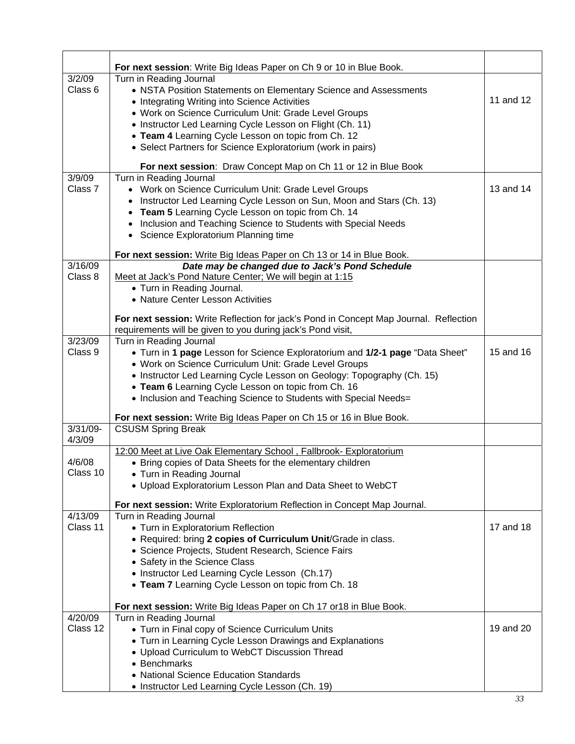| 3/2/09      | For next session: Write Big Ideas Paper on Ch 9 or 10 in Blue Book.<br>Turn in Reading Journal                                                       |           |
|-------------|------------------------------------------------------------------------------------------------------------------------------------------------------|-----------|
| Class 6     | • NSTA Position Statements on Elementary Science and Assessments                                                                                     |           |
|             | • Integrating Writing into Science Activities                                                                                                        | 11 and 12 |
|             | • Work on Science Curriculum Unit: Grade Level Groups                                                                                                |           |
|             | • Instructor Led Learning Cycle Lesson on Flight (Ch. 11)                                                                                            |           |
|             | • Team 4 Learning Cycle Lesson on topic from Ch. 12                                                                                                  |           |
|             | • Select Partners for Science Exploratorium (work in pairs)                                                                                          |           |
|             |                                                                                                                                                      |           |
|             | For next session: Draw Concept Map on Ch 11 or 12 in Blue Book                                                                                       |           |
| 3/9/09      | Turn in Reading Journal                                                                                                                              |           |
| Class 7     | • Work on Science Curriculum Unit: Grade Level Groups                                                                                                | 13 and 14 |
|             | Instructor Led Learning Cycle Lesson on Sun, Moon and Stars (Ch. 13)                                                                                 |           |
|             | Team 5 Learning Cycle Lesson on topic from Ch. 14<br>$\bullet$                                                                                       |           |
|             | • Inclusion and Teaching Science to Students with Special Needs                                                                                      |           |
|             | • Science Exploratorium Planning time                                                                                                                |           |
|             | For next session: Write Big Ideas Paper on Ch 13 or 14 in Blue Book.                                                                                 |           |
| 3/16/09     | Date may be changed due to Jack's Pond Schedule                                                                                                      |           |
| Class 8     | Meet at Jack's Pond Nature Center; We will begin at 1:15                                                                                             |           |
|             | • Turn in Reading Journal.                                                                                                                           |           |
|             | • Nature Center Lesson Activities                                                                                                                    |           |
|             |                                                                                                                                                      |           |
|             | For next session: Write Reflection for jack's Pond in Concept Map Journal. Reflection<br>requirements will be given to you during jack's Pond visit, |           |
| 3/23/09     | Turn in Reading Journal                                                                                                                              |           |
| Class 9     | • Turn in 1 page Lesson for Science Exploratorium and 1/2-1 page "Data Sheet"                                                                        | 15 and 16 |
|             | • Work on Science Curriculum Unit: Grade Level Groups                                                                                                |           |
|             | • Instructor Led Learning Cycle Lesson on Geology: Topography (Ch. 15)                                                                               |           |
|             | • Team 6 Learning Cycle Lesson on topic from Ch. 16                                                                                                  |           |
|             | • Inclusion and Teaching Science to Students with Special Needs=                                                                                     |           |
|             |                                                                                                                                                      |           |
|             | For next session: Write Big Ideas Paper on Ch 15 or 16 in Blue Book.                                                                                 |           |
| $3/31/09 -$ | <b>CSUSM Spring Break</b>                                                                                                                            |           |
| 4/3/09      | 12:00 Meet at Live Oak Elementary School, Fallbrook- Exploratorium                                                                                   |           |
| 4/6/08      | • Bring copies of Data Sheets for the elementary children                                                                                            |           |
| Class 10    | • Turn in Reading Journal                                                                                                                            |           |
|             | • Upload Exploratorium Lesson Plan and Data Sheet to WebCT                                                                                           |           |
|             |                                                                                                                                                      |           |
|             | For next session: Write Exploratorium Reflection in Concept Map Journal.                                                                             |           |
| 4/13/09     | Turn in Reading Journal                                                                                                                              |           |
| Class 11    | • Turn in Exploratorium Reflection                                                                                                                   | 17 and 18 |
|             | • Required: bring 2 copies of Curriculum Unit/Grade in class.                                                                                        |           |
|             | • Science Projects, Student Research, Science Fairs                                                                                                  |           |
|             | • Safety in the Science Class                                                                                                                        |           |
|             | • Instructor Led Learning Cycle Lesson (Ch.17)                                                                                                       |           |
|             | • Team 7 Learning Cycle Lesson on topic from Ch. 18                                                                                                  |           |
|             | For next session: Write Big Ideas Paper on Ch 17 or 18 in Blue Book.                                                                                 |           |
| 4/20/09     | Turn in Reading Journal                                                                                                                              |           |
| Class 12    | • Turn in Final copy of Science Curriculum Units                                                                                                     | 19 and 20 |
|             | • Turn in Learning Cycle Lesson Drawings and Explanations                                                                                            |           |
|             | • Upload Curriculum to WebCT Discussion Thread                                                                                                       |           |
|             | • Benchmarks                                                                                                                                         |           |
|             | • National Science Education Standards                                                                                                               |           |
|             | • Instructor Led Learning Cycle Lesson (Ch. 19)                                                                                                      |           |